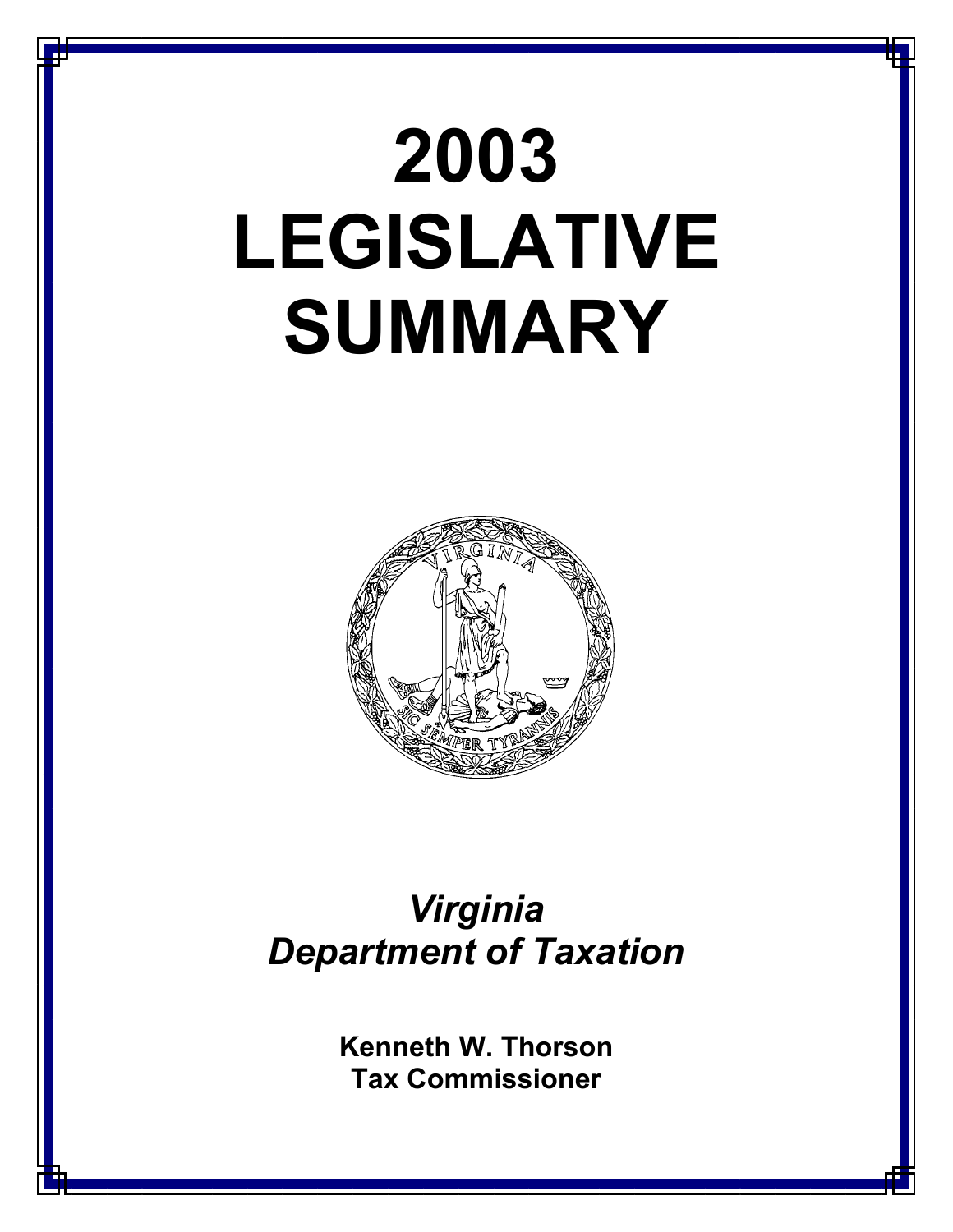# **2003 LEGISLATIVE SUMMARY**



## *Virginia Department of Taxation*

**Kenneth W. Thorson Tax Commissioner**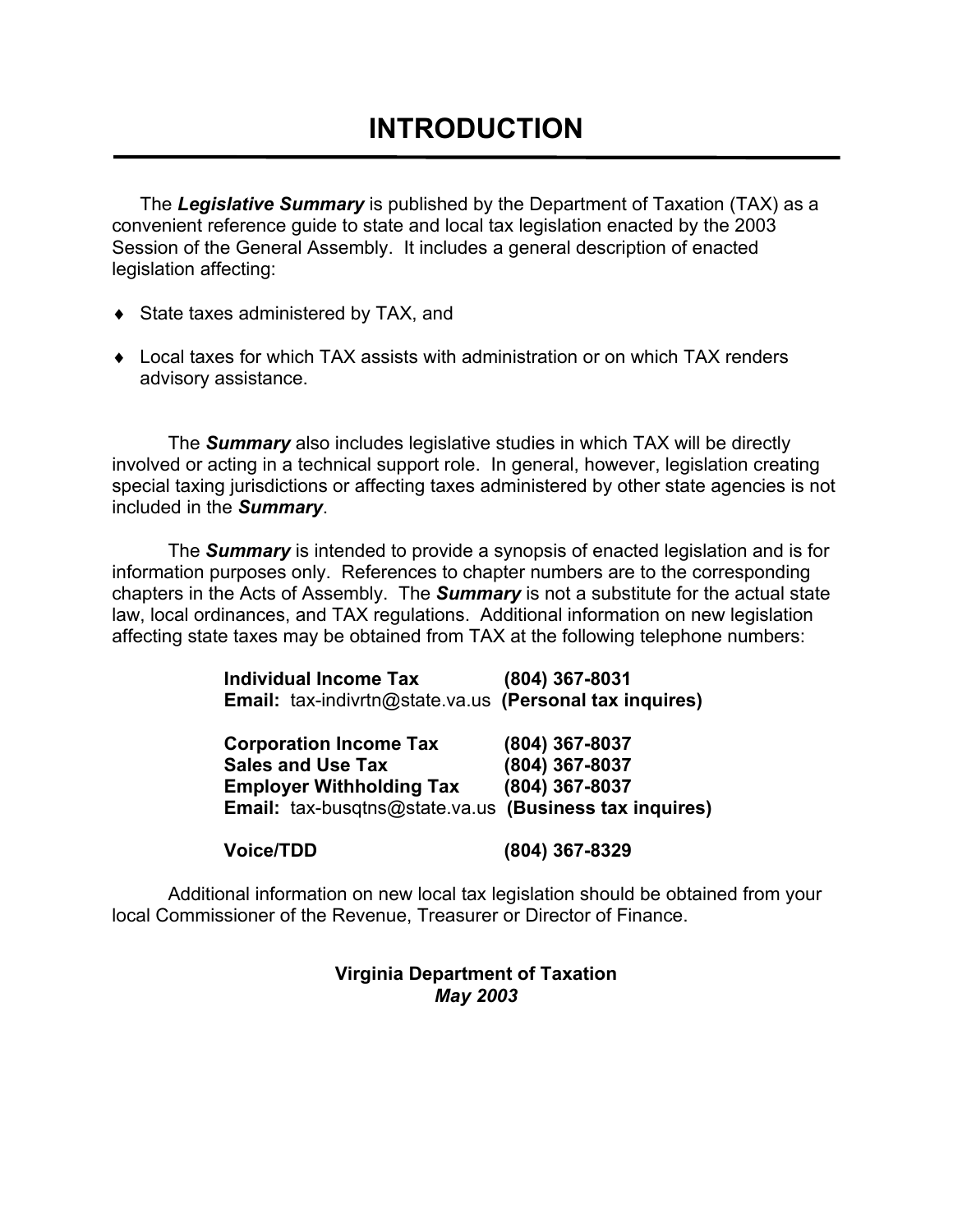The *Legislative Summary* is published by the Department of Taxation (TAX) as a convenient reference guide to state and local tax legislation enacted by the 2003 Session of the General Assembly. It includes a general description of enacted legislation affecting:

- ♦ State taxes administered by TAX, and
- $\bullet$  Local taxes for which TAX assists with administration or on which TAX renders advisory assistance.

 The *Summary* also includes legislative studies in which TAX will be directly involved or acting in a technical support role. In general, however, legislation creating special taxing jurisdictions or affecting taxes administered by other state agencies is not included in the *Summary*.

 The *Summary* is intended to provide a synopsis of enacted legislation and is for information purposes only. References to chapter numbers are to the corresponding chapters in the Acts of Assembly. The *Summary* is not a substitute for the actual state law, local ordinances, and TAX regulations. Additional information on new legislation affecting state taxes may be obtained from TAX at the following telephone numbers:

| <b>Individual Income Tax</b><br>Email: tax-indivrtn@state.va.us (Personal tax inquires)      | (804) 367-8031                                                                                               |
|----------------------------------------------------------------------------------------------|--------------------------------------------------------------------------------------------------------------|
| <b>Corporation Income Tax</b><br><b>Sales and Use Tax</b><br><b>Employer Withholding Tax</b> | (804) 367-8037<br>(804) 367-8037<br>(804) 367-8037<br>Email: tax-busqtns@state.va.us (Business tax inquires) |

 **Voice/TDD (804) 367-8329** 

Additional information on new local tax legislation should be obtained from your local Commissioner of the Revenue, Treasurer or Director of Finance.

## **Virginia Department of Taxation**  *May 2003*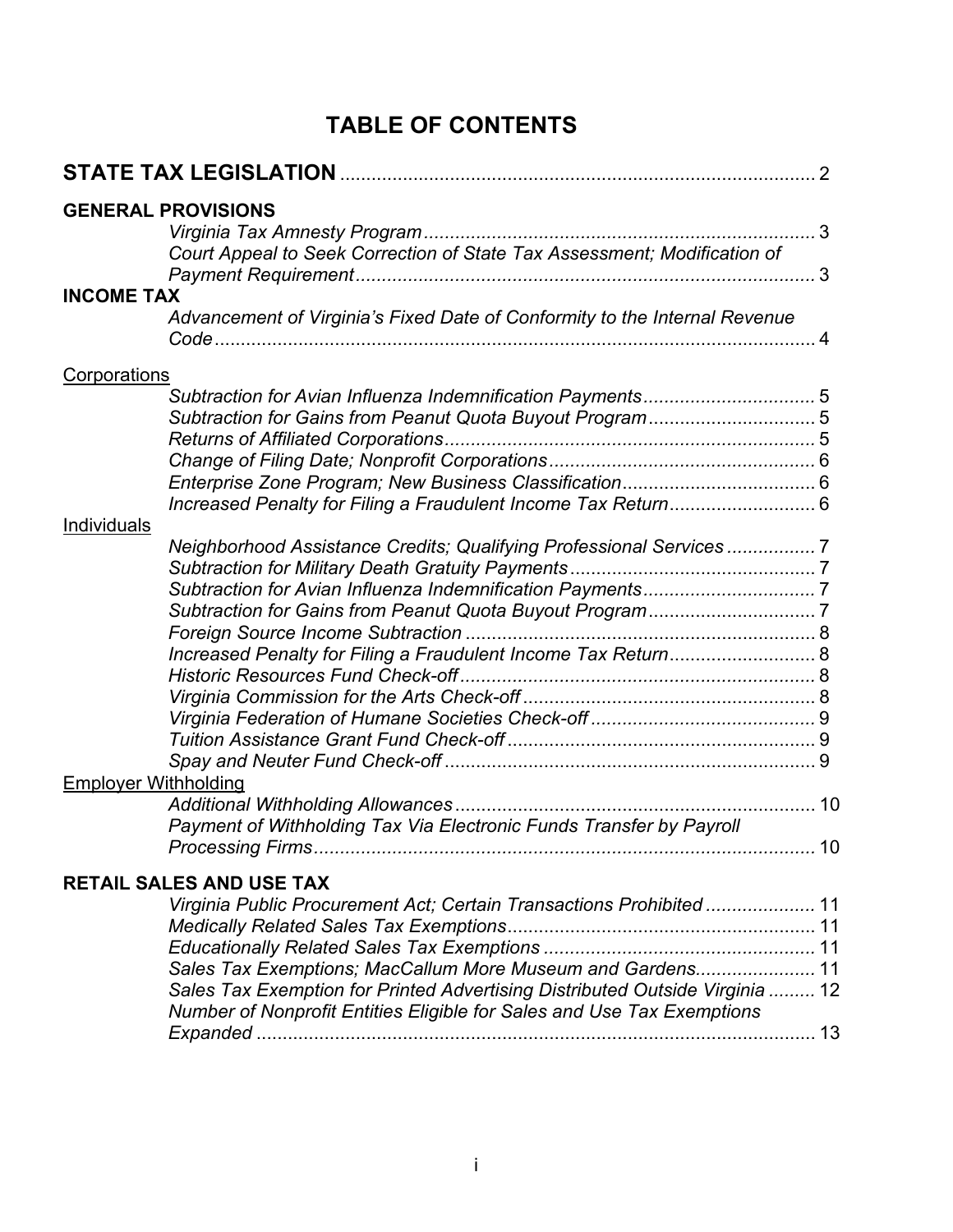## **TABLE OF CONTENTS**

|                             | <b>GENERAL PROVISIONS</b>                                                    |  |
|-----------------------------|------------------------------------------------------------------------------|--|
|                             |                                                                              |  |
|                             | Court Appeal to Seek Correction of State Tax Assessment; Modification of     |  |
| <b>INCOME TAX</b>           |                                                                              |  |
|                             | Advancement of Virginia's Fixed Date of Conformity to the Internal Revenue   |  |
| Corporations                |                                                                              |  |
|                             |                                                                              |  |
|                             |                                                                              |  |
|                             |                                                                              |  |
|                             |                                                                              |  |
|                             |                                                                              |  |
|                             |                                                                              |  |
| Individuals                 |                                                                              |  |
|                             | Neighborhood Assistance Credits; Qualifying Professional Services 7          |  |
|                             |                                                                              |  |
|                             |                                                                              |  |
|                             |                                                                              |  |
|                             |                                                                              |  |
|                             | Increased Penalty for Filing a Fraudulent Income Tax Return 8                |  |
|                             |                                                                              |  |
|                             |                                                                              |  |
|                             |                                                                              |  |
|                             |                                                                              |  |
|                             |                                                                              |  |
| <b>Employer Withholding</b> |                                                                              |  |
|                             |                                                                              |  |
|                             | Payment of Withholding Tax Via Electronic Funds Transfer by Payroll          |  |
|                             |                                                                              |  |
|                             | <b>RETAIL SALES AND USE TAX</b>                                              |  |
|                             | Virginia Public Procurement Act; Certain Transactions Prohibited 11          |  |
|                             |                                                                              |  |
|                             |                                                                              |  |
|                             | Sales Tax Exemptions; MacCallum More Museum and Gardens 11                   |  |
|                             | Sales Tax Exemption for Printed Advertising Distributed Outside Virginia  12 |  |
|                             | Number of Nonprofit Entities Eligible for Sales and Use Tax Exemptions       |  |
|                             |                                                                              |  |
|                             |                                                                              |  |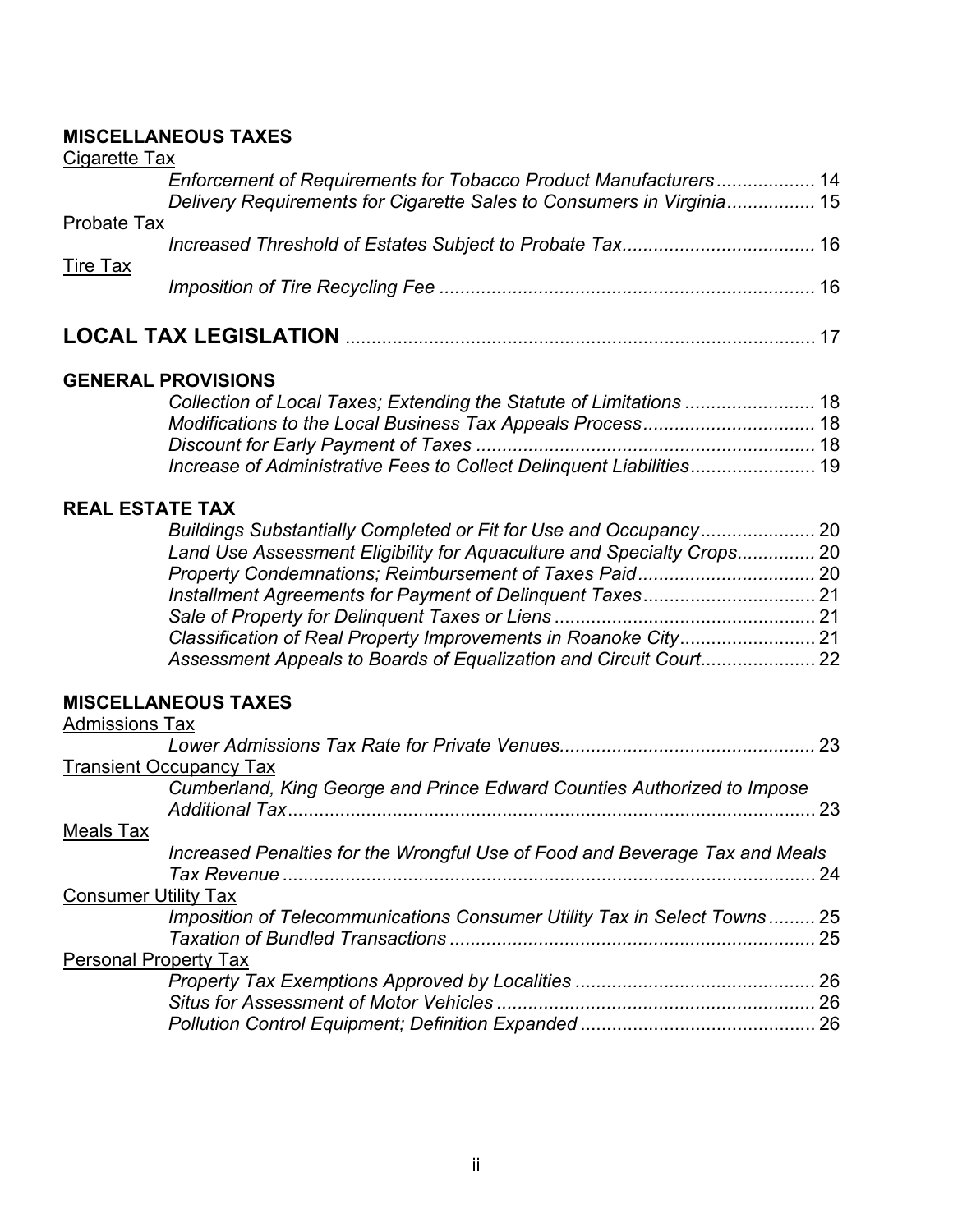## **MISCELLANEOUS TAXES**

| Cigarette Tax      |                                                                                                                                           |  |
|--------------------|-------------------------------------------------------------------------------------------------------------------------------------------|--|
|                    | Enforcement of Requirements for Tobacco Product Manufacturers 14<br>Delivery Requirements for Cigarette Sales to Consumers in Virginia 15 |  |
| <b>Probate Tax</b> |                                                                                                                                           |  |
| Tire Tax           |                                                                                                                                           |  |
|                    |                                                                                                                                           |  |
|                    |                                                                                                                                           |  |

## **GENERAL PROVISIONS**

## **REAL ESTATE TAX**

| Land Use Assessment Eligibility for Aguaculture and Specialty Crops 20 |  |
|------------------------------------------------------------------------|--|
|                                                                        |  |
|                                                                        |  |
|                                                                        |  |
|                                                                        |  |
|                                                                        |  |

## **MISCELLANEOUS TAXES**

| <b>Admissions Tax</b>          |                                                                             |    |
|--------------------------------|-----------------------------------------------------------------------------|----|
|                                |                                                                             |    |
| <b>Transient Occupancy Tax</b> |                                                                             |    |
|                                | Cumberland, King George and Prince Edward Counties Authorized to Impose     | 23 |
| Meals Tax                      |                                                                             |    |
|                                | Increased Penalties for the Wrongful Use of Food and Beverage Tax and Meals | 24 |
| <b>Consumer Utility Tax</b>    |                                                                             |    |
|                                | Imposition of Telecommunications Consumer Utility Tax in Select Towns 25    | 25 |
| <b>Personal Property Tax</b>   |                                                                             |    |
|                                |                                                                             | 26 |
|                                |                                                                             | 26 |
|                                |                                                                             |    |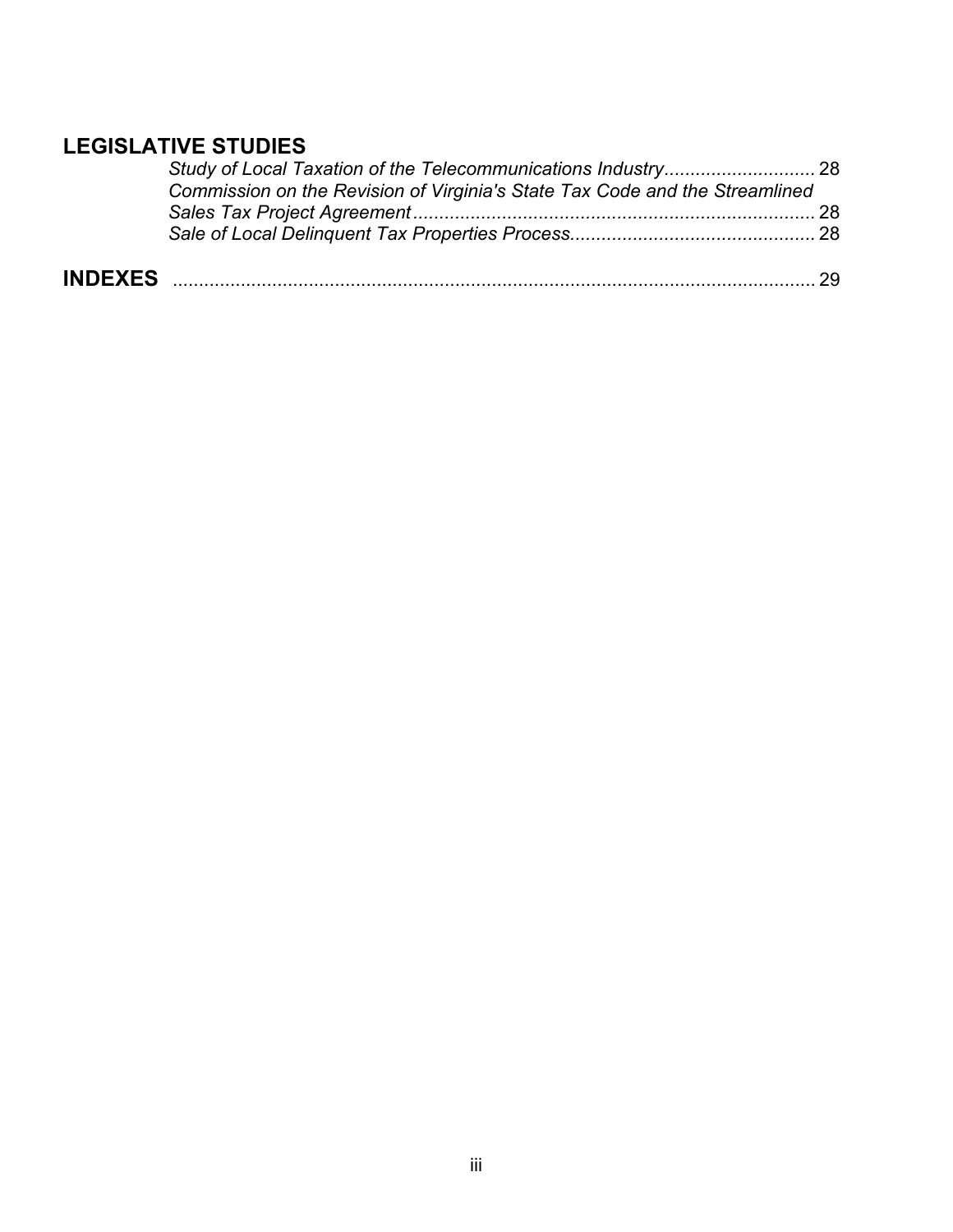## **LEGISLATIVE STUDIES**

| Commission on the Revision of Virginia's State Tax Code and the Streamlined |  |
|-----------------------------------------------------------------------------|--|
|                                                                             |  |
|                                                                             |  |
|                                                                             |  |

| <b>IND</b> |  |
|------------|--|
|------------|--|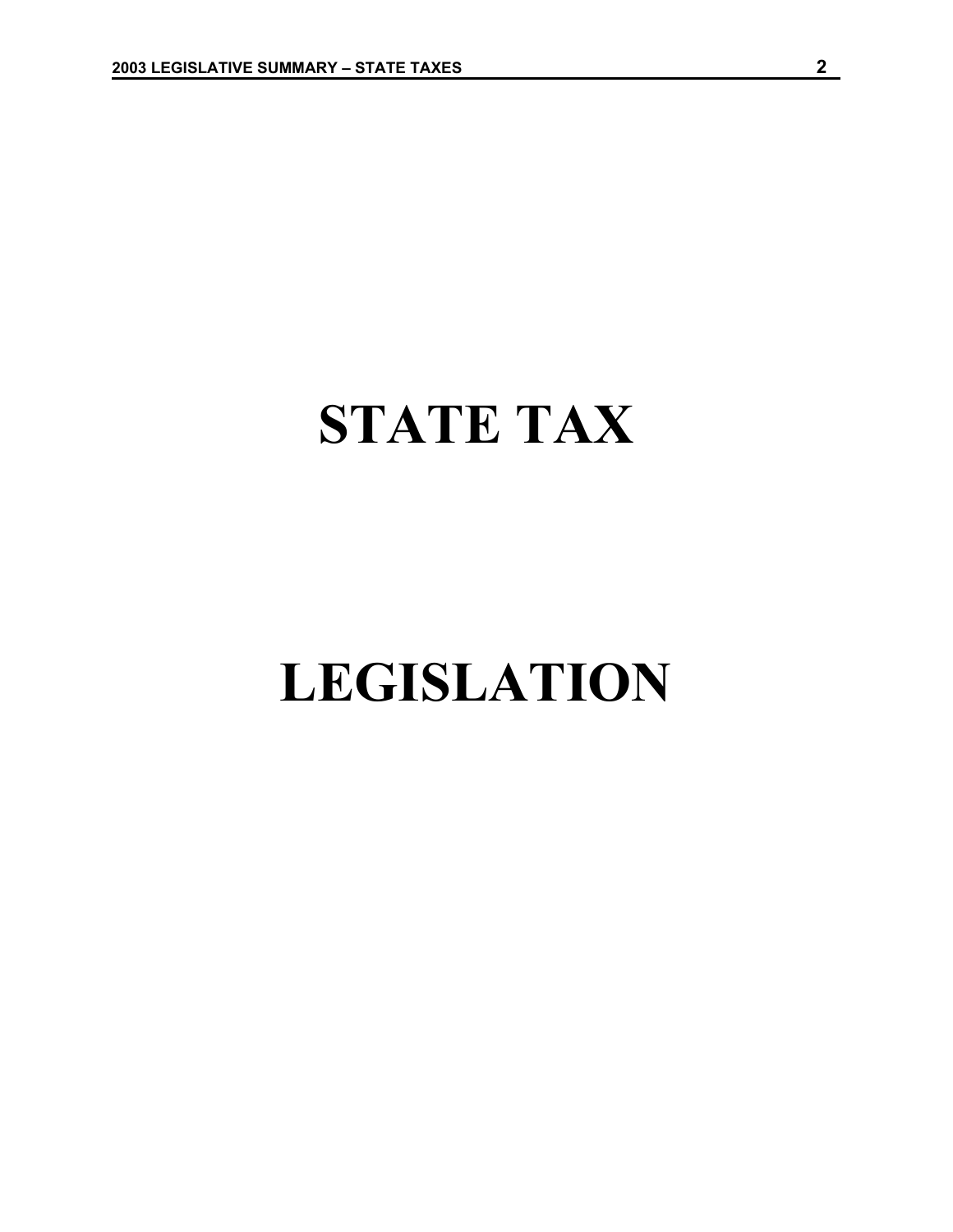## **STATE TAX**

# **LEGISLATION**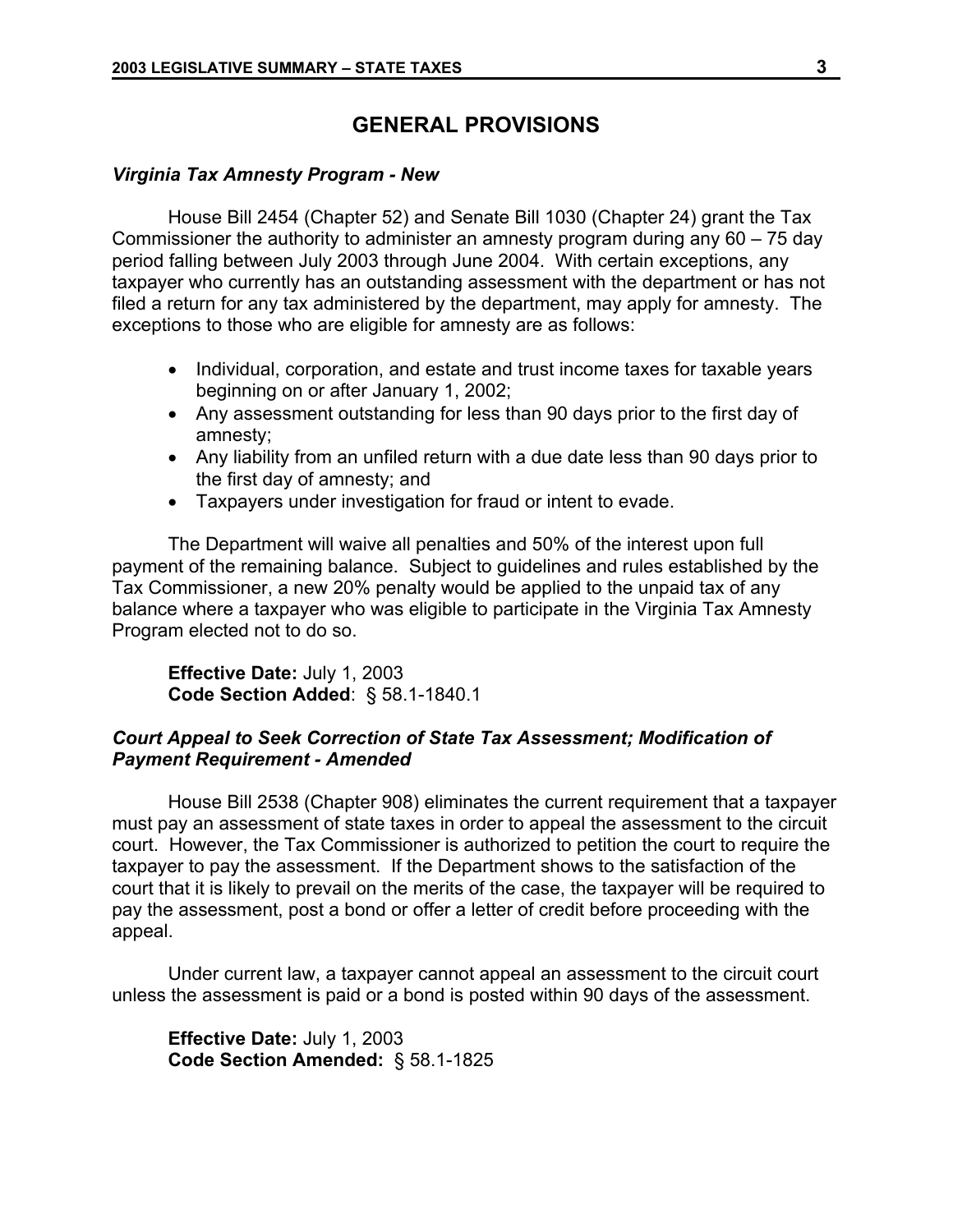## **GENERAL PROVISIONS**

### *Virginia Tax Amnesty Program - New*

House Bill 2454 (Chapter 52) and Senate Bill 1030 (Chapter 24) grant the Tax Commissioner the authority to administer an amnesty program during any 60 – 75 day period falling between July 2003 through June 2004. With certain exceptions, any taxpayer who currently has an outstanding assessment with the department or has not filed a return for any tax administered by the department, may apply for amnesty. The exceptions to those who are eligible for amnesty are as follows:

- Individual, corporation, and estate and trust income taxes for taxable years beginning on or after January 1, 2002;
- Any assessment outstanding for less than 90 days prior to the first day of amnesty;
- Any liability from an unfiled return with a due date less than 90 days prior to the first day of amnesty; and
- Taxpayers under investigation for fraud or intent to evade.

The Department will waive all penalties and 50% of the interest upon full payment of the remaining balance. Subject to guidelines and rules established by the Tax Commissioner, a new 20% penalty would be applied to the unpaid tax of any balance where a taxpayer who was eligible to participate in the Virginia Tax Amnesty Program elected not to do so.

**Effective Date:** July 1, 2003 **Code Section Added**: § 58.1-1840.1

## *Court Appeal to Seek Correction of State Tax Assessment; Modification of Payment Requirement - Amended*

House Bill 2538 (Chapter 908) eliminates the current requirement that a taxpayer must pay an assessment of state taxes in order to appeal the assessment to the circuit court. However, the Tax Commissioner is authorized to petition the court to require the taxpayer to pay the assessment. If the Department shows to the satisfaction of the court that it is likely to prevail on the merits of the case, the taxpayer will be required to pay the assessment, post a bond or offer a letter of credit before proceeding with the appeal.

Under current law, a taxpayer cannot appeal an assessment to the circuit court unless the assessment is paid or a bond is posted within 90 days of the assessment.

**Effective Date:** July 1, 2003 **Code Section Amended:** § 58.1-1825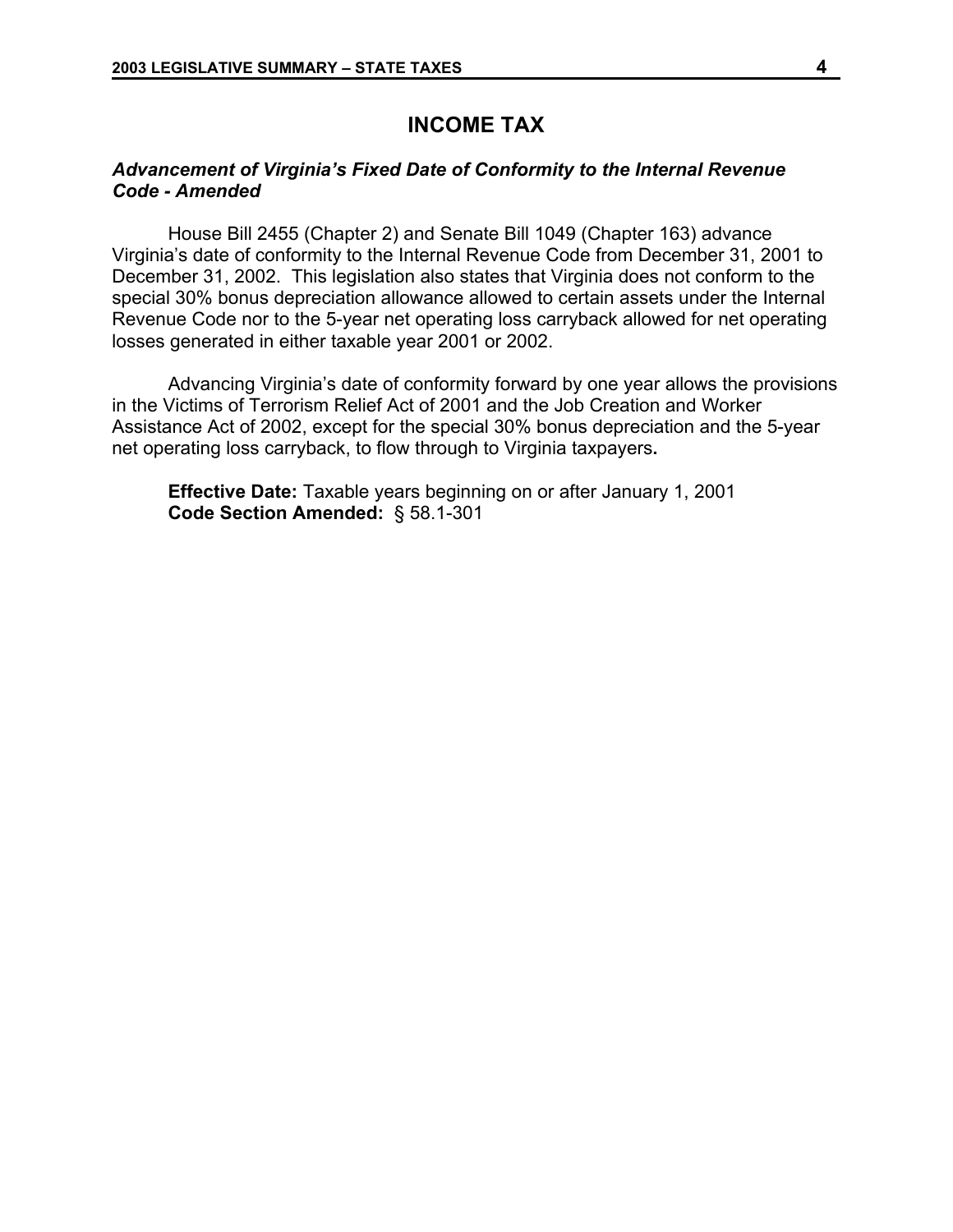## **INCOME TAX**

## *Advancement of Virginia's Fixed Date of Conformity to the Internal Revenue Code - Amended*

House Bill 2455 (Chapter 2) and Senate Bill 1049 (Chapter 163) advance Virginia's date of conformity to the Internal Revenue Code from December 31, 2001 to December 31, 2002. This legislation also states that Virginia does not conform to the special 30% bonus depreciation allowance allowed to certain assets under the Internal Revenue Code nor to the 5-year net operating loss carryback allowed for net operating losses generated in either taxable year 2001 or 2002.

Advancing Virginia's date of conformity forward by one year allows the provisions in the Victims of Terrorism Relief Act of 2001 and the Job Creation and Worker Assistance Act of 2002, except for the special 30% bonus depreciation and the 5-year net operating loss carryback, to flow through to Virginia taxpayers**.** 

**Effective Date:** Taxable years beginning on or after January 1, 2001 **Code Section Amended:** § 58.1-301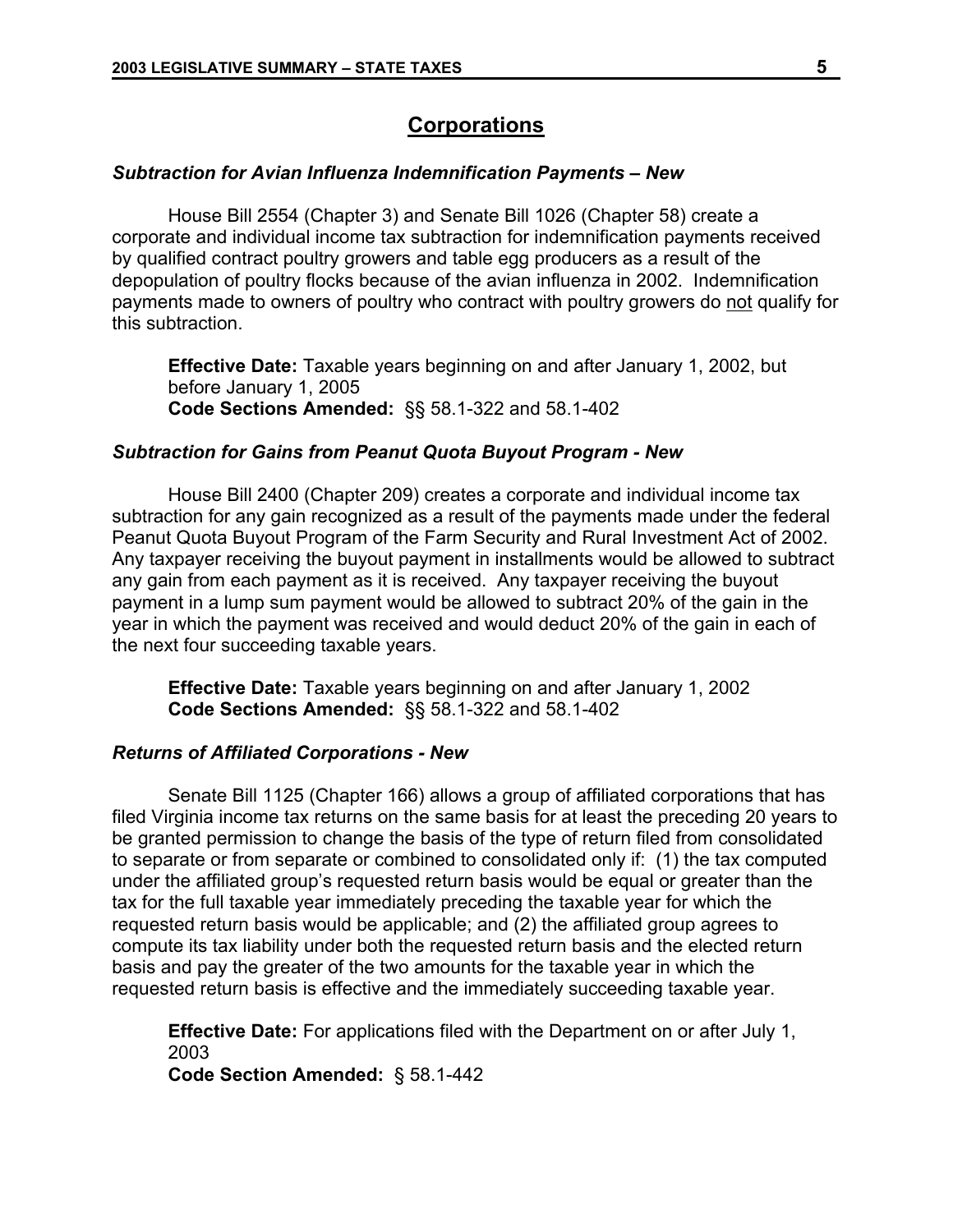## **Corporations**

### *Subtraction for Avian Influenza Indemnification Payments – New*

House Bill 2554 (Chapter 3) and Senate Bill 1026 (Chapter 58) create a corporate and individual income tax subtraction for indemnification payments received by qualified contract poultry growers and table egg producers as a result of the depopulation of poultry flocks because of the avian influenza in 2002. Indemnification payments made to owners of poultry who contract with poultry growers do not qualify for this subtraction.

**Effective Date:** Taxable years beginning on and after January 1, 2002, but before January 1, 2005 **Code Sections Amended:** §§ 58.1-322 and 58.1-402

#### *Subtraction for Gains from Peanut Quota Buyout Program - New*

House Bill 2400 (Chapter 209) creates a corporate and individual income tax subtraction for any gain recognized as a result of the payments made under the federal Peanut Quota Buyout Program of the Farm Security and Rural Investment Act of 2002. Any taxpayer receiving the buyout payment in installments would be allowed to subtract any gain from each payment as it is received. Any taxpayer receiving the buyout payment in a lump sum payment would be allowed to subtract 20% of the gain in the year in which the payment was received and would deduct 20% of the gain in each of the next four succeeding taxable years.

**Effective Date:** Taxable years beginning on and after January 1, 2002 **Code Sections Amended:** §§ 58.1-322 and 58.1-402

## *Returns of Affiliated Corporations - New*

Senate Bill 1125 (Chapter 166) allows a group of affiliated corporations that has filed Virginia income tax returns on the same basis for at least the preceding 20 years to be granted permission to change the basis of the type of return filed from consolidated to separate or from separate or combined to consolidated only if: (1) the tax computed under the affiliated group's requested return basis would be equal or greater than the tax for the full taxable year immediately preceding the taxable year for which the requested return basis would be applicable; and (2) the affiliated group agrees to compute its tax liability under both the requested return basis and the elected return basis and pay the greater of the two amounts for the taxable year in which the requested return basis is effective and the immediately succeeding taxable year.

**Effective Date:** For applications filed with the Department on or after July 1, 2003

**Code Section Amended:** § 58.1-442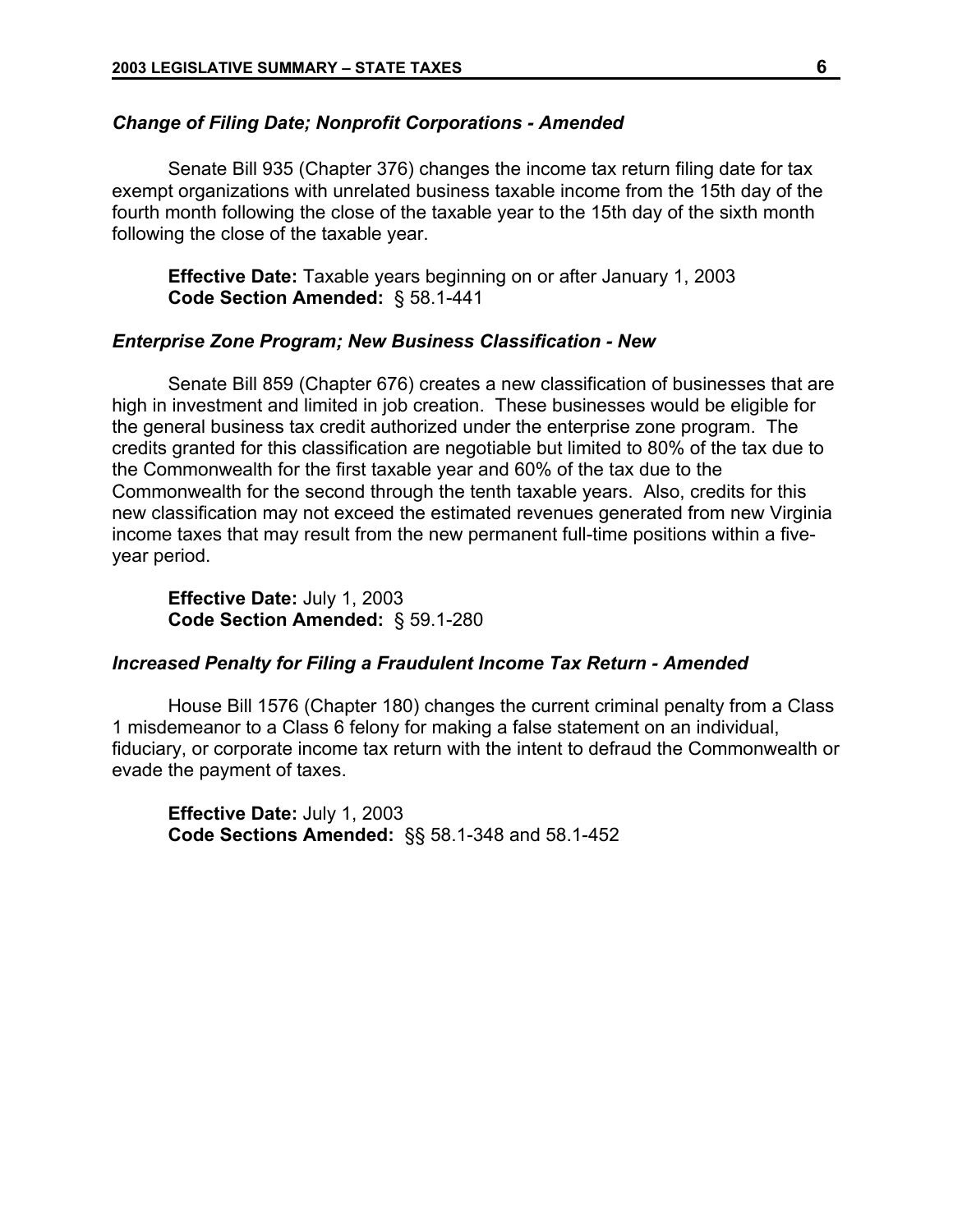### *Change of Filing Date; Nonprofit Corporations - Amended*

Senate Bill 935 (Chapter 376) changes the income tax return filing date for tax exempt organizations with unrelated business taxable income from the 15th day of the fourth month following the close of the taxable year to the 15th day of the sixth month following the close of the taxable year.

**Effective Date:** Taxable years beginning on or after January 1, 2003 **Code Section Amended:** § 58.1-441

### *Enterprise Zone Program; New Business Classification - New*

Senate Bill 859 (Chapter 676) creates a new classification of businesses that are high in investment and limited in job creation. These businesses would be eligible for the general business tax credit authorized under the enterprise zone program. The credits granted for this classification are negotiable but limited to 80% of the tax due to the Commonwealth for the first taxable year and 60% of the tax due to the Commonwealth for the second through the tenth taxable years. Also, credits for this new classification may not exceed the estimated revenues generated from new Virginia income taxes that may result from the new permanent full-time positions within a fiveyear period.

**Effective Date:** July 1, 2003 **Code Section Amended:** § 59.1-280

### *Increased Penalty for Filing a Fraudulent Income Tax Return - Amended*

House Bill 1576 (Chapter 180) changes the current criminal penalty from a Class 1 misdemeanor to a Class 6 felony for making a false statement on an individual, fiduciary, or corporate income tax return with the intent to defraud the Commonwealth or evade the payment of taxes.

**Effective Date:** July 1, 2003 **Code Sections Amended:** §§ 58.1-348 and 58.1-452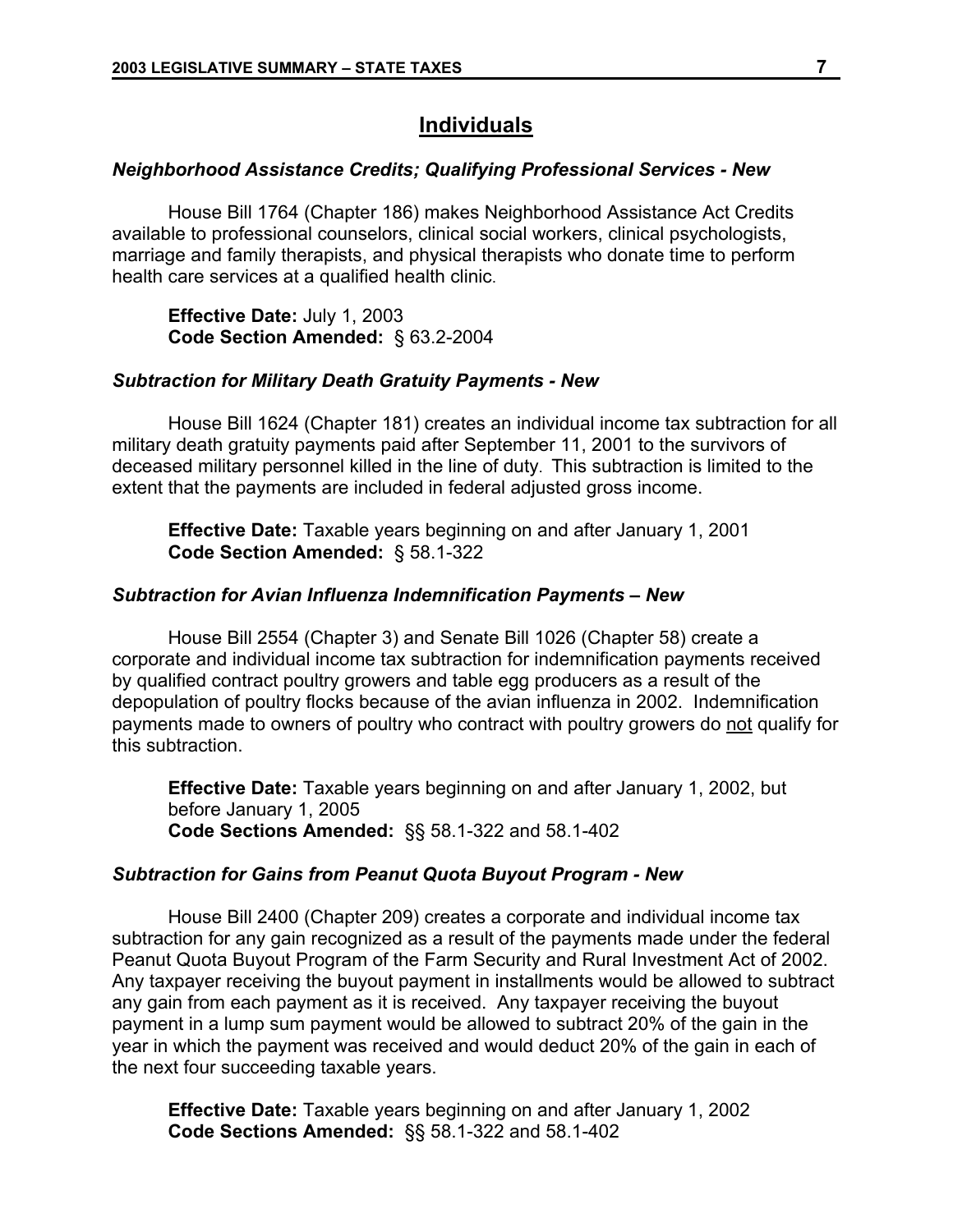## **Individuals**

### *Neighborhood Assistance Credits; Qualifying Professional Services - New*

House Bill 1764 (Chapter 186) makes Neighborhood Assistance Act Credits available to professional counselors, clinical social workers, clinical psychologists, marriage and family therapists, and physical therapists who donate time to perform health care services at a qualified health clinic.

**Effective Date:** July 1, 2003 **Code Section Amended:** § 63.2-2004

### *Subtraction for Military Death Gratuity Payments - New*

House Bill 1624 (Chapter 181) creates an individual income tax subtraction for all military death gratuity payments paid after September 11, 2001 to the survivors of deceased military personnel killed in the line of duty. This subtraction is limited to the extent that the payments are included in federal adjusted gross income.

**Effective Date:** Taxable years beginning on and after January 1, 2001 **Code Section Amended:** § 58.1-322

### *Subtraction for Avian Influenza Indemnification Payments – New*

House Bill 2554 (Chapter 3) and Senate Bill 1026 (Chapter 58) create a corporate and individual income tax subtraction for indemnification payments received by qualified contract poultry growers and table egg producers as a result of the depopulation of poultry flocks because of the avian influenza in 2002. Indemnification payments made to owners of poultry who contract with poultry growers do not qualify for this subtraction.

**Effective Date:** Taxable years beginning on and after January 1, 2002, but before January 1, 2005 **Code Sections Amended:** §§ 58.1-322 and 58.1-402

### *Subtraction for Gains from Peanut Quota Buyout Program - New*

House Bill 2400 (Chapter 209) creates a corporate and individual income tax subtraction for any gain recognized as a result of the payments made under the federal Peanut Quota Buyout Program of the Farm Security and Rural Investment Act of 2002. Any taxpayer receiving the buyout payment in installments would be allowed to subtract any gain from each payment as it is received. Any taxpayer receiving the buyout payment in a lump sum payment would be allowed to subtract 20% of the gain in the year in which the payment was received and would deduct 20% of the gain in each of the next four succeeding taxable years.

**Effective Date:** Taxable years beginning on and after January 1, 2002 **Code Sections Amended:** §§ 58.1-322 and 58.1-402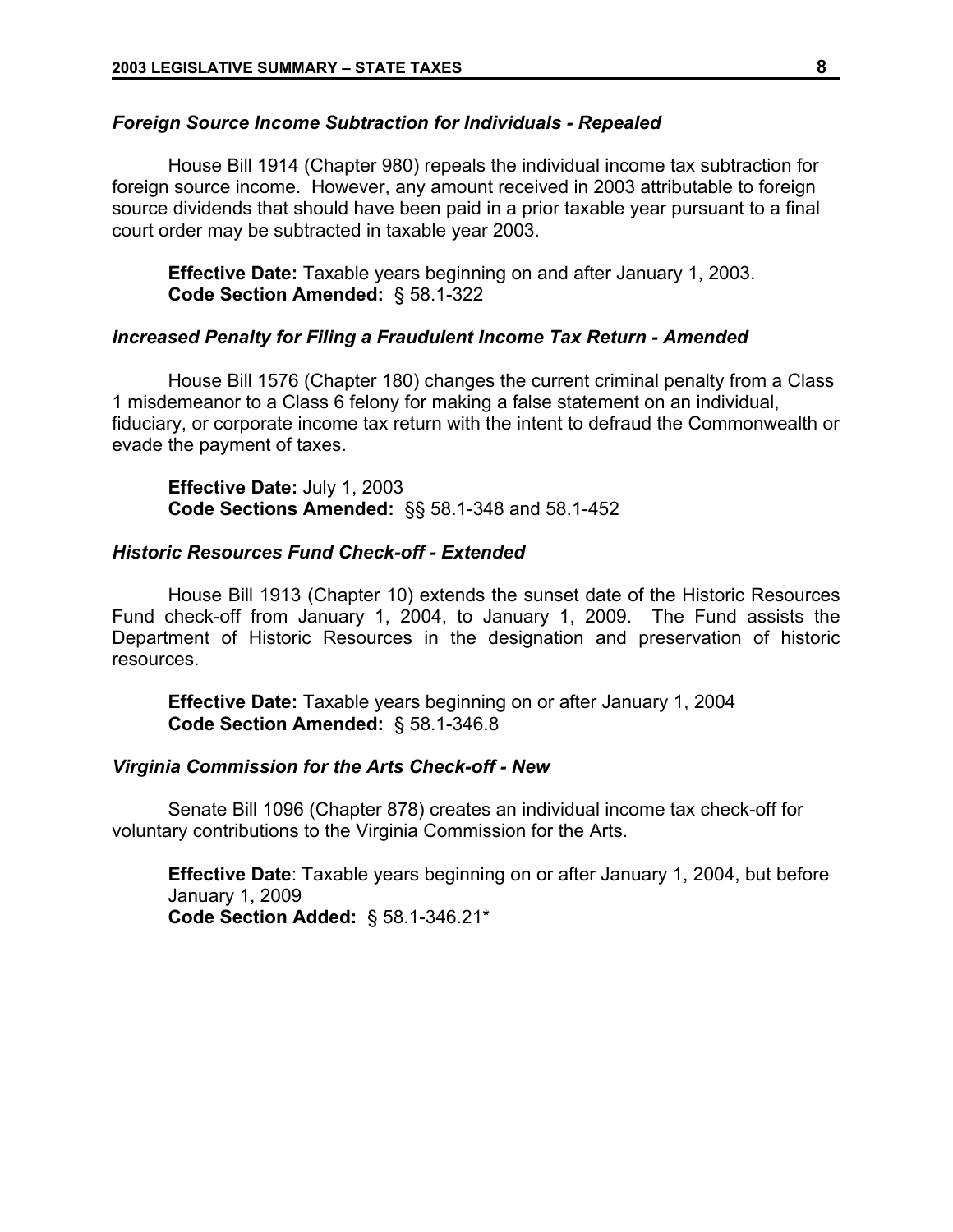### *Foreign Source Income Subtraction for Individuals - Repealed*

House Bill 1914 (Chapter 980) repeals the individual income tax subtraction for foreign source income. However, any amount received in 2003 attributable to foreign source dividends that should have been paid in a prior taxable year pursuant to a final court order may be subtracted in taxable year 2003.

**Effective Date:** Taxable years beginning on and after January 1, 2003. **Code Section Amended:** § 58.1-322

#### *Increased Penalty for Filing a Fraudulent Income Tax Return - Amended*

House Bill 1576 (Chapter 180) changes the current criminal penalty from a Class 1 misdemeanor to a Class 6 felony for making a false statement on an individual, fiduciary, or corporate income tax return with the intent to defraud the Commonwealth or evade the payment of taxes.

**Effective Date:** July 1, 2003 **Code Sections Amended:** §§ 58.1-348 and 58.1-452

### *Historic Resources Fund Check-off - Extended*

House Bill 1913 (Chapter 10) extends the sunset date of the Historic Resources Fund check-off from January 1, 2004, to January 1, 2009. The Fund assists the Department of Historic Resources in the designation and preservation of historic resources.

**Effective Date:** Taxable years beginning on or after January 1, 2004 **Code Section Amended:** § 58.1-346.8

#### *Virginia Commission for the Arts Check-off - New*

Senate Bill 1096 (Chapter 878) creates an individual income tax check-off for voluntary contributions to the Virginia Commission for the Arts.

**Effective Date**: Taxable years beginning on or after January 1, 2004, but before January 1, 2009 **Code Section Added:** § 58.1-346.21\*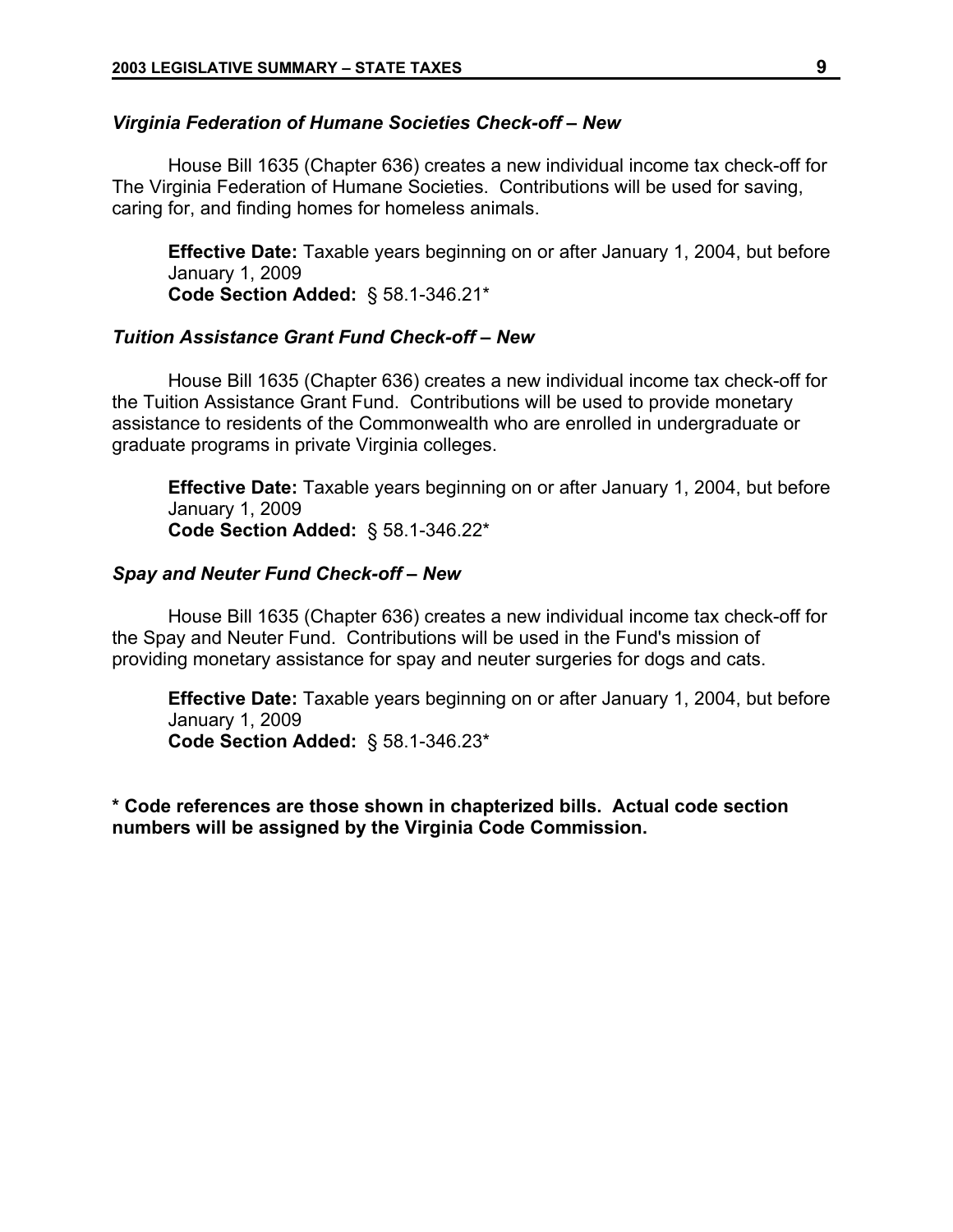### *Virginia Federation of Humane Societies Check-off – New*

House Bill 1635 (Chapter 636) creates a new individual income tax check-off for The Virginia Federation of Humane Societies. Contributions will be used for saving, caring for, and finding homes for homeless animals.

**Effective Date:** Taxable years beginning on or after January 1, 2004, but before January 1, 2009 **Code Section Added:** § 58.1-346.21\*

## *Tuition Assistance Grant Fund Check-off – New*

House Bill 1635 (Chapter 636) creates a new individual income tax check-off for the Tuition Assistance Grant Fund. Contributions will be used to provide monetary assistance to residents of the Commonwealth who are enrolled in undergraduate or graduate programs in private Virginia colleges.

**Effective Date:** Taxable years beginning on or after January 1, 2004, but before January 1, 2009

**Code Section Added:** § 58.1-346.22\*

## *Spay and Neuter Fund Check-off – New*

House Bill 1635 (Chapter 636) creates a new individual income tax check-off for the Spay and Neuter Fund. Contributions will be used in the Fund's mission of providing monetary assistance for spay and neuter surgeries for dogs and cats.

**Effective Date:** Taxable years beginning on or after January 1, 2004, but before January 1, 2009 **Code Section Added:** § 58.1-346.23\*

**\* Code references are those shown in chapterized bills. Actual code section numbers will be assigned by the Virginia Code Commission.**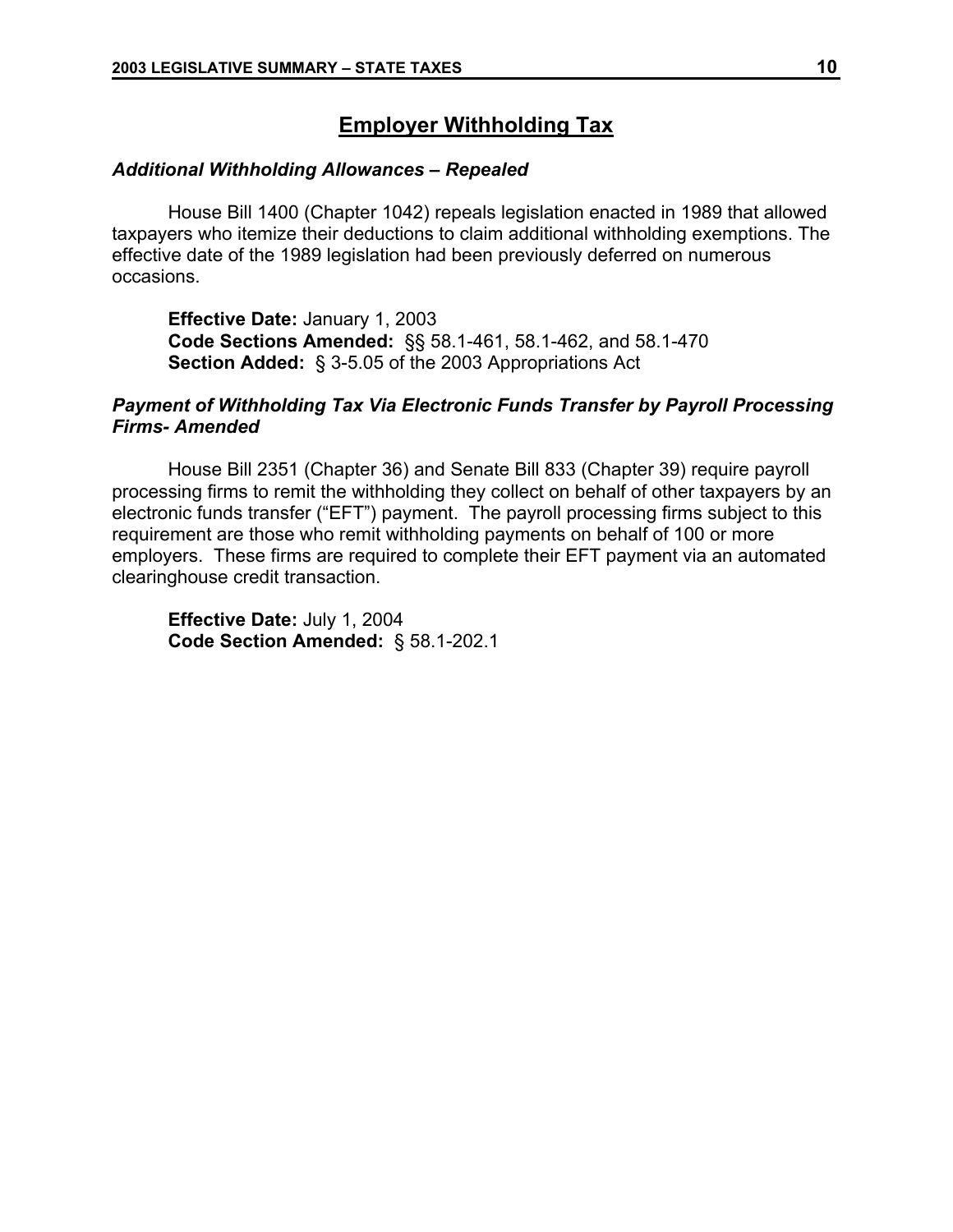## **Employer Withholding Tax**

## *Additional Withholding Allowances – Repealed*

House Bill 1400 (Chapter 1042) repeals legislation enacted in 1989 that allowed taxpayers who itemize their deductions to claim additional withholding exemptions. The effective date of the 1989 legislation had been previously deferred on numerous occasions.

**Effective Date:** January 1, 2003 **Code Sections Amended:** §§ 58.1-461, 58.1-462, and 58.1-470 **Section Added:** § 3-5.05 of the 2003 Appropriations Act

## *Payment of Withholding Tax Via Electronic Funds Transfer by Payroll Processing Firms- Amended*

House Bill 2351 (Chapter 36) and Senate Bill 833 (Chapter 39) require payroll processing firms to remit the withholding they collect on behalf of other taxpayers by an electronic funds transfer ("EFT") payment. The payroll processing firms subject to this requirement are those who remit withholding payments on behalf of 100 or more employers. These firms are required to complete their EFT payment via an automated clearinghouse credit transaction.

**Effective Date:** July 1, 2004 **Code Section Amended:** § 58.1-202.1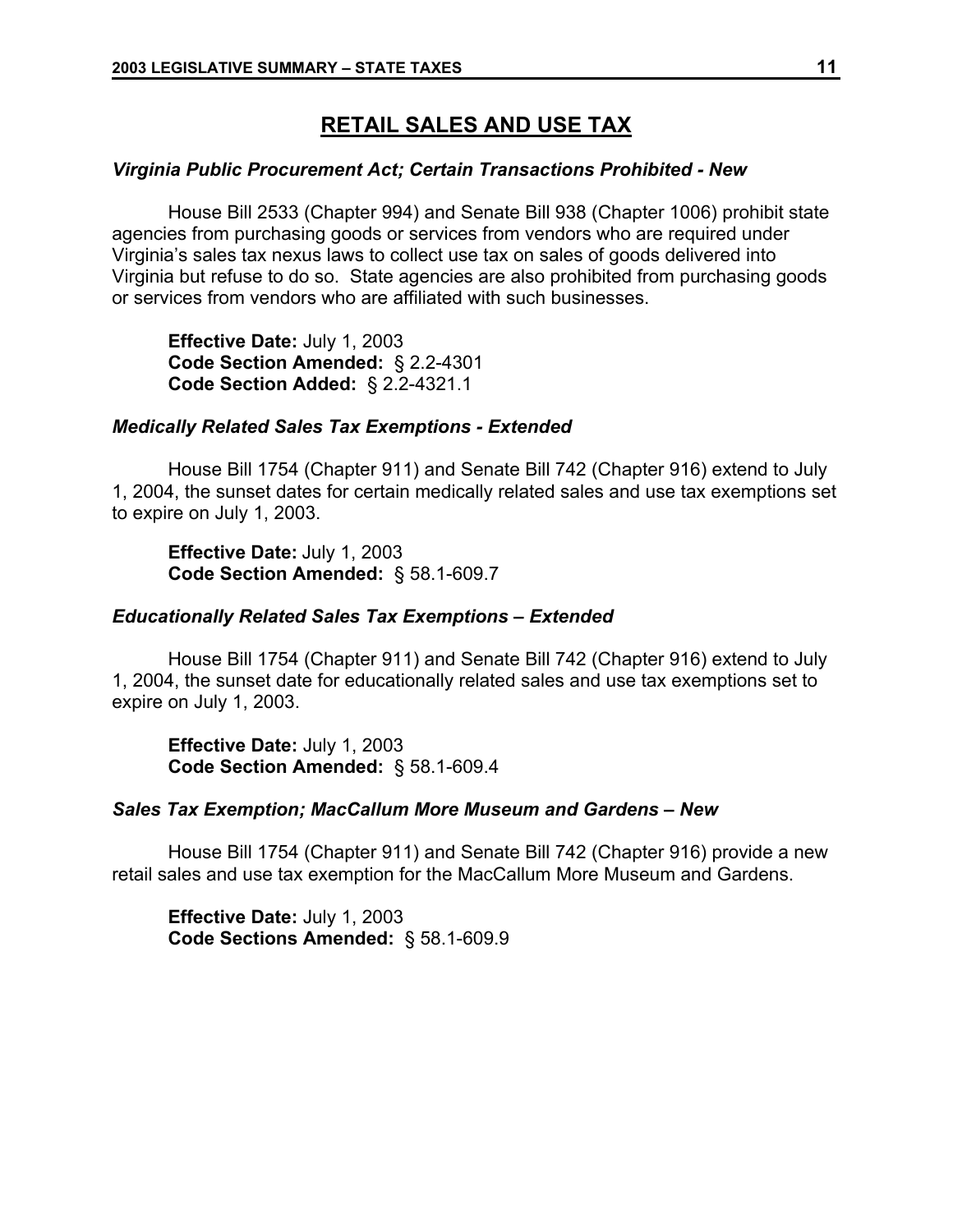## **RETAIL SALES AND USE TAX**

### *Virginia Public Procurement Act; Certain Transactions Prohibited - New*

House Bill 2533 (Chapter 994) and Senate Bill 938 (Chapter 1006) prohibit state agencies from purchasing goods or services from vendors who are required under Virginia's sales tax nexus laws to collect use tax on sales of goods delivered into Virginia but refuse to do so. State agencies are also prohibited from purchasing goods or services from vendors who are affiliated with such businesses.

**Effective Date:** July 1, 2003 **Code Section Amended:** § 2.2-4301 **Code Section Added:** § 2.2-4321.1

### *Medically Related Sales Tax Exemptions - Extended*

House Bill 1754 (Chapter 911) and Senate Bill 742 (Chapter 916) extend to July 1, 2004, the sunset dates for certain medically related sales and use tax exemptions set to expire on July 1, 2003.

**Effective Date:** July 1, 2003 **Code Section Amended:** § 58.1-609.7

### *Educationally Related Sales Tax Exemptions – Extended*

House Bill 1754 (Chapter 911) and Senate Bill 742 (Chapter 916) extend to July 1, 2004, the sunset date for educationally related sales and use tax exemptions set to expire on July 1, 2003.

**Effective Date:** July 1, 2003 **Code Section Amended:** § 58.1-609.4

### *Sales Tax Exemption; MacCallum More Museum and Gardens – New*

House Bill 1754 (Chapter 911) and Senate Bill 742 (Chapter 916) provide a new retail sales and use tax exemption for the MacCallum More Museum and Gardens.

**Effective Date:** July 1, 2003 **Code Sections Amended:** § 58.1-609.9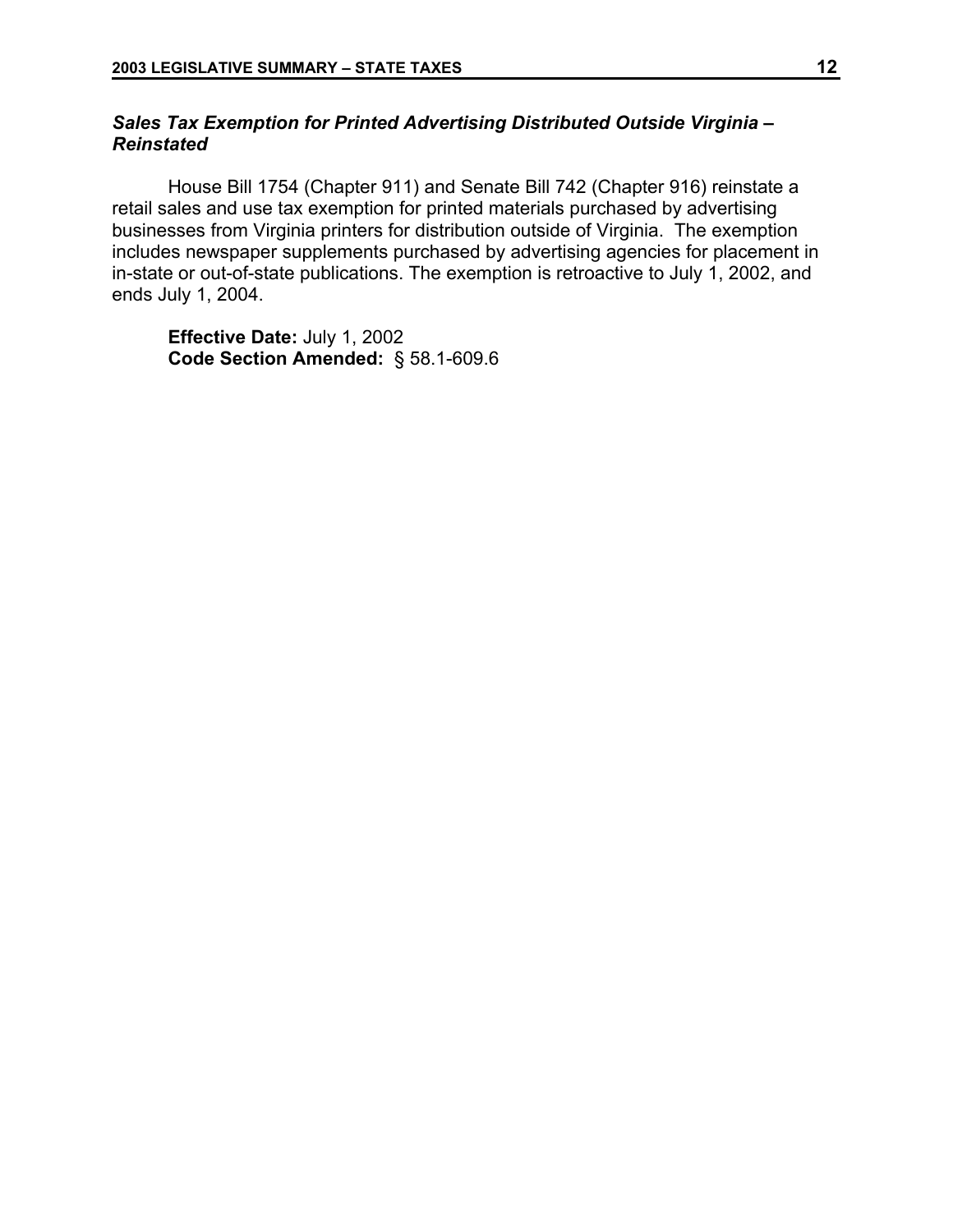## *Sales Tax Exemption for Printed Advertising Distributed Outside Virginia – Reinstated*

House Bill 1754 (Chapter 911) and Senate Bill 742 (Chapter 916) reinstate a retail sales and use tax exemption for printed materials purchased by advertising businesses from Virginia printers for distribution outside of Virginia. The exemption includes newspaper supplements purchased by advertising agencies for placement in in-state or out-of-state publications. The exemption is retroactive to July 1, 2002, and ends July 1, 2004.

**Effective Date:** July 1, 2002 **Code Section Amended:** § 58.1-609.6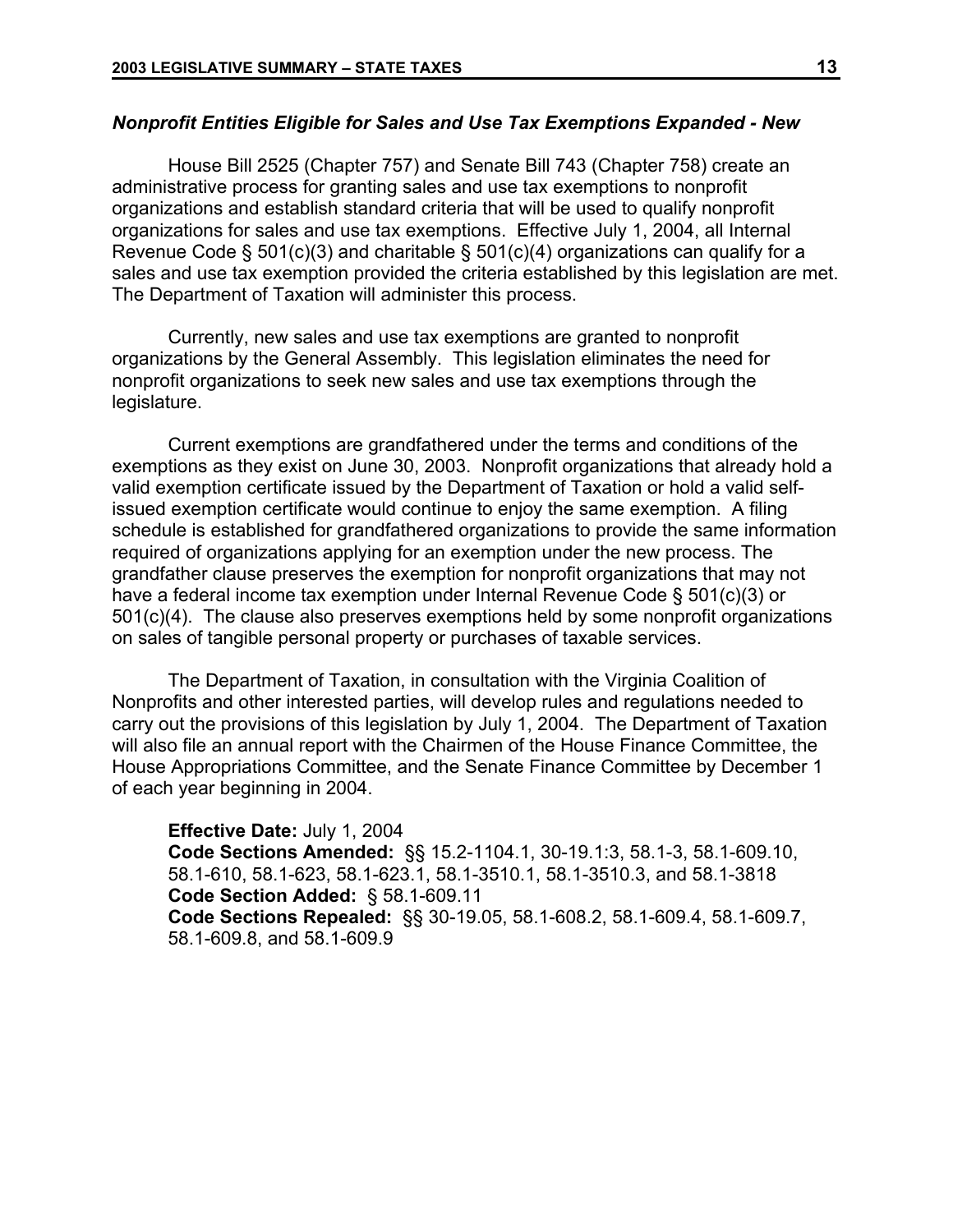## *Nonprofit Entities Eligible for Sales and Use Tax Exemptions Expanded - New*

House Bill 2525 (Chapter 757) and Senate Bill 743 (Chapter 758) create an administrative process for granting sales and use tax exemptions to nonprofit organizations and establish standard criteria that will be used to qualify nonprofit organizations for sales and use tax exemptions. Effective July 1, 2004, all Internal Revenue Code § 501(c)(3) and charitable § 501(c)(4) organizations can qualify for a sales and use tax exemption provided the criteria established by this legislation are met. The Department of Taxation will administer this process.

Currently, new sales and use tax exemptions are granted to nonprofit organizations by the General Assembly. This legislation eliminates the need for nonprofit organizations to seek new sales and use tax exemptions through the legislature.

Current exemptions are grandfathered under the terms and conditions of the exemptions as they exist on June 30, 2003. Nonprofit organizations that already hold a valid exemption certificate issued by the Department of Taxation or hold a valid selfissued exemption certificate would continue to enjoy the same exemption. A filing schedule is established for grandfathered organizations to provide the same information required of organizations applying for an exemption under the new process. The grandfather clause preserves the exemption for nonprofit organizations that may not have a federal income tax exemption under Internal Revenue Code § 501(c)(3) or 501(c)(4). The clause also preserves exemptions held by some nonprofit organizations on sales of tangible personal property or purchases of taxable services.

The Department of Taxation, in consultation with the Virginia Coalition of Nonprofits and other interested parties, will develop rules and regulations needed to carry out the provisions of this legislation by July 1, 2004. The Department of Taxation will also file an annual report with the Chairmen of the House Finance Committee, the House Appropriations Committee, and the Senate Finance Committee by December 1 of each year beginning in 2004.

**Effective Date:** July 1, 2004 **Code Sections Amended:** §§ 15.2-1104.1, 30-19.1:3, 58.1-3, 58.1-609.10, 58.1-610, 58.1-623, 58.1-623.1, 58.1-3510.1, 58.1-3510.3, and 58.1-3818 **Code Section Added:** § 58.1-609.11 **Code Sections Repealed:** §§ 30-19.05, 58.1-608.2, 58.1-609.4, 58.1-609.7, 58.1-609.8, and 58.1-609.9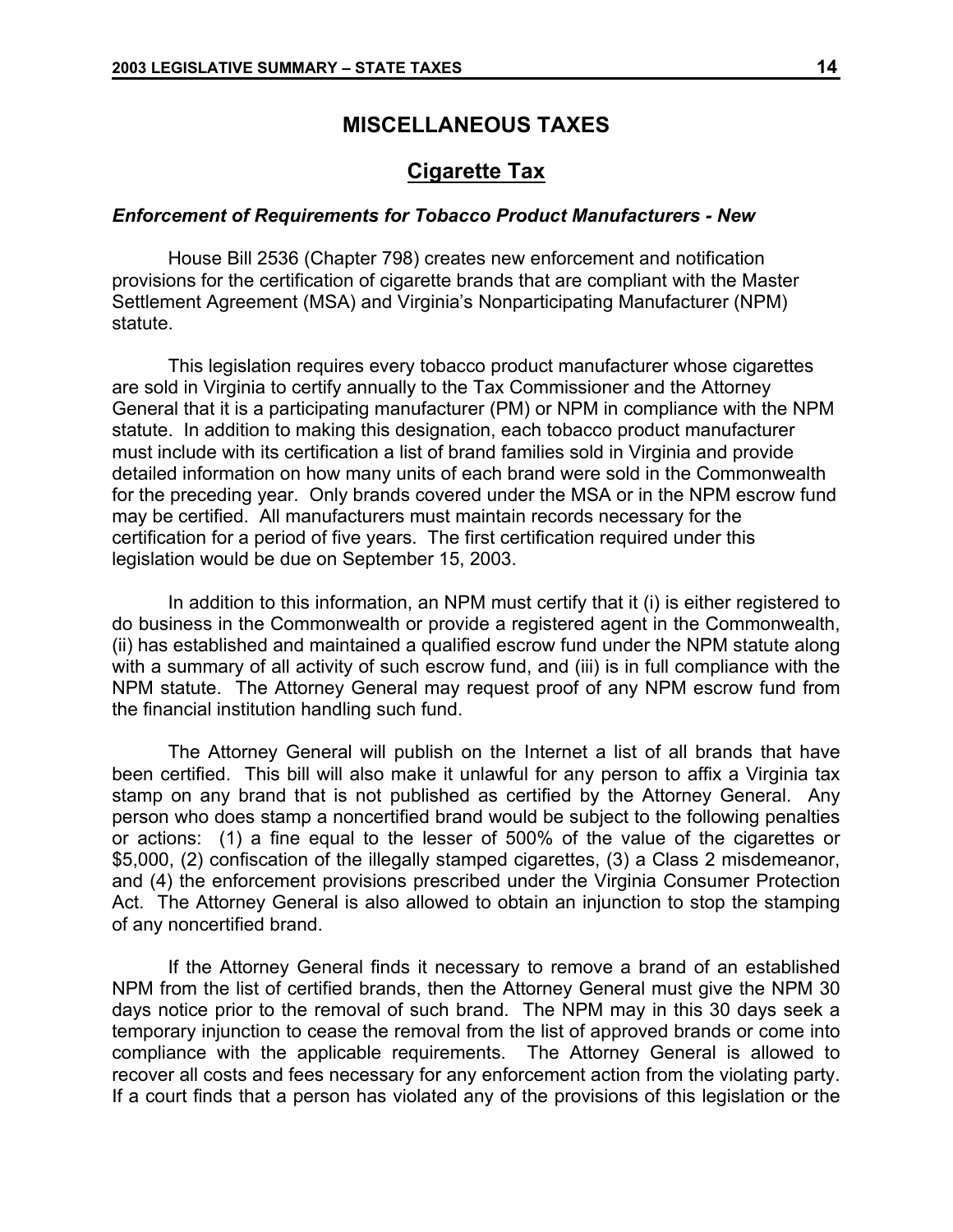## **MISCELLANEOUS TAXES**

## **Cigarette Tax**

### *Enforcement of Requirements for Tobacco Product Manufacturers - New*

House Bill 2536 (Chapter 798) creates new enforcement and notification provisions for the certification of cigarette brands that are compliant with the Master Settlement Agreement (MSA) and Virginia's Nonparticipating Manufacturer (NPM) statute.

This legislation requires every tobacco product manufacturer whose cigarettes are sold in Virginia to certify annually to the Tax Commissioner and the Attorney General that it is a participating manufacturer (PM) or NPM in compliance with the NPM statute. In addition to making this designation, each tobacco product manufacturer must include with its certification a list of brand families sold in Virginia and provide detailed information on how many units of each brand were sold in the Commonwealth for the preceding year. Only brands covered under the MSA or in the NPM escrow fund may be certified. All manufacturers must maintain records necessary for the certification for a period of five years. The first certification required under this legislation would be due on September 15, 2003.

In addition to this information, an NPM must certify that it (i) is either registered to do business in the Commonwealth or provide a registered agent in the Commonwealth, (ii) has established and maintained a qualified escrow fund under the NPM statute along with a summary of all activity of such escrow fund, and (iii) is in full compliance with the NPM statute. The Attorney General may request proof of any NPM escrow fund from the financial institution handling such fund.

The Attorney General will publish on the Internet a list of all brands that have been certified. This bill will also make it unlawful for any person to affix a Virginia tax stamp on any brand that is not published as certified by the Attorney General. Any person who does stamp a noncertified brand would be subject to the following penalties or actions: (1) a fine equal to the lesser of 500% of the value of the cigarettes or \$5,000, (2) confiscation of the illegally stamped cigarettes, (3) a Class 2 misdemeanor, and (4) the enforcement provisions prescribed under the Virginia Consumer Protection Act. The Attorney General is also allowed to obtain an injunction to stop the stamping of any noncertified brand.

If the Attorney General finds it necessary to remove a brand of an established NPM from the list of certified brands, then the Attorney General must give the NPM 30 days notice prior to the removal of such brand. The NPM may in this 30 days seek a temporary injunction to cease the removal from the list of approved brands or come into compliance with the applicable requirements. The Attorney General is allowed to recover all costs and fees necessary for any enforcement action from the violating party. If a court finds that a person has violated any of the provisions of this legislation or the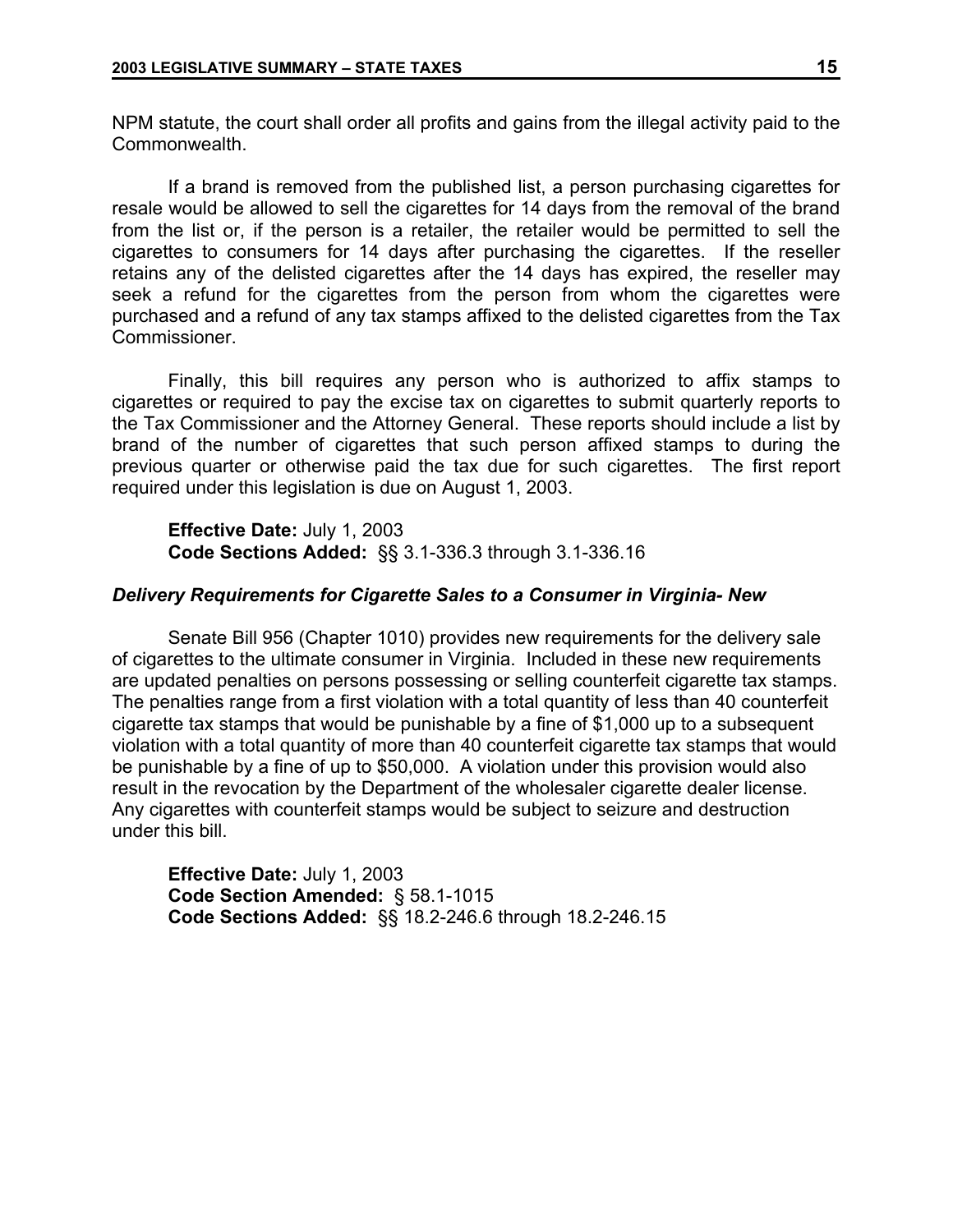NPM statute, the court shall order all profits and gains from the illegal activity paid to the Commonwealth.

If a brand is removed from the published list, a person purchasing cigarettes for resale would be allowed to sell the cigarettes for 14 days from the removal of the brand from the list or, if the person is a retailer, the retailer would be permitted to sell the cigarettes to consumers for 14 days after purchasing the cigarettes. If the reseller retains any of the delisted cigarettes after the 14 days has expired, the reseller may seek a refund for the cigarettes from the person from whom the cigarettes were purchased and a refund of any tax stamps affixed to the delisted cigarettes from the Tax Commissioner.

Finally, this bill requires any person who is authorized to affix stamps to cigarettes or required to pay the excise tax on cigarettes to submit quarterly reports to the Tax Commissioner and the Attorney General. These reports should include a list by brand of the number of cigarettes that such person affixed stamps to during the previous quarter or otherwise paid the tax due for such cigarettes. The first report required under this legislation is due on August 1, 2003.

**Effective Date:** July 1, 2003 **Code Sections Added:** §§ 3.1-336.3 through 3.1-336.16

### *Delivery Requirements for Cigarette Sales to a Consumer in Virginia- New*

Senate Bill 956 (Chapter 1010) provides new requirements for the delivery sale of cigarettes to the ultimate consumer in Virginia. Included in these new requirements are updated penalties on persons possessing or selling counterfeit cigarette tax stamps. The penalties range from a first violation with a total quantity of less than 40 counterfeit cigarette tax stamps that would be punishable by a fine of \$1,000 up to a subsequent violation with a total quantity of more than 40 counterfeit cigarette tax stamps that would be punishable by a fine of up to \$50,000. A violation under this provision would also result in the revocation by the Department of the wholesaler cigarette dealer license. Any cigarettes with counterfeit stamps would be subject to seizure and destruction under this bill.

**Effective Date:** July 1, 2003 **Code Section Amended:** § 58.1-1015 **Code Sections Added:** §§ 18.2-246.6 through 18.2-246.15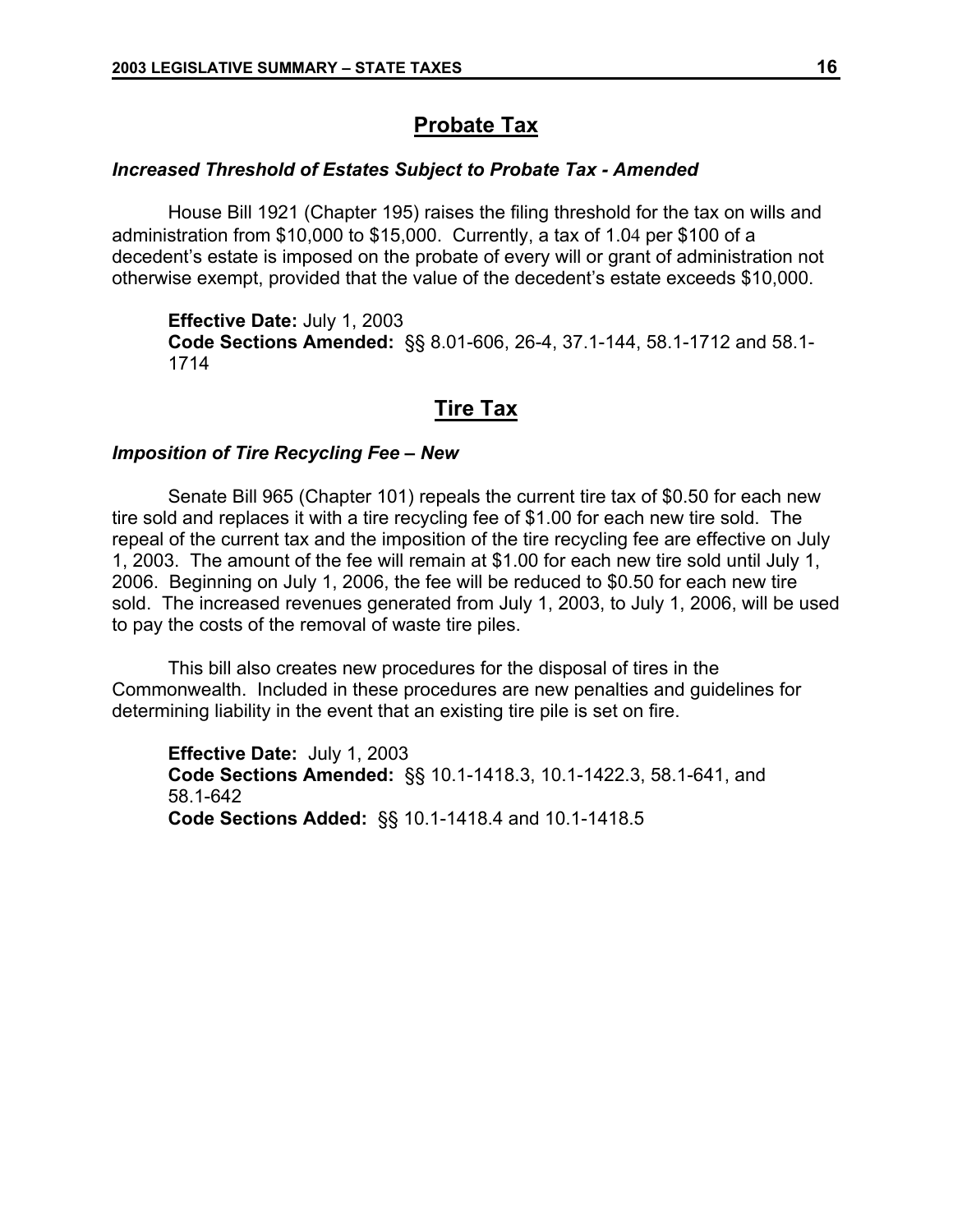## **Probate Tax**

## *Increased Threshold of Estates Subject to Probate Tax - Amended*

House Bill 1921 (Chapter 195) raises the filing threshold for the tax on wills and administration from \$10,000 to \$15,000. Currently, a tax of 1.04 per \$100 of a decedent's estate is imposed on the probate of every will or grant of administration not otherwise exempt, provided that the value of the decedent's estate exceeds \$10,000.

**Effective Date:** July 1, 2003 **Code Sections Amended:** §§ 8.01-606, 26-4, 37.1-144, 58.1-1712 and 58.1- 1714

## **Tire Tax**

## *Imposition of Tire Recycling Fee – New*

Senate Bill 965 (Chapter 101) repeals the current tire tax of \$0.50 for each new tire sold and replaces it with a tire recycling fee of \$1.00 for each new tire sold. The repeal of the current tax and the imposition of the tire recycling fee are effective on July 1, 2003. The amount of the fee will remain at \$1.00 for each new tire sold until July 1, 2006. Beginning on July 1, 2006, the fee will be reduced to \$0.50 for each new tire sold. The increased revenues generated from July 1, 2003, to July 1, 2006, will be used to pay the costs of the removal of waste tire piles.

This bill also creates new procedures for the disposal of tires in the Commonwealth. Included in these procedures are new penalties and guidelines for determining liability in the event that an existing tire pile is set on fire.

**Effective Date:** July 1, 2003 **Code Sections Amended:** §§ 10.1-1418.3, 10.1-1422.3, 58.1-641, and 58.1-642 **Code Sections Added:** §§ 10.1-1418.4 and 10.1-1418.5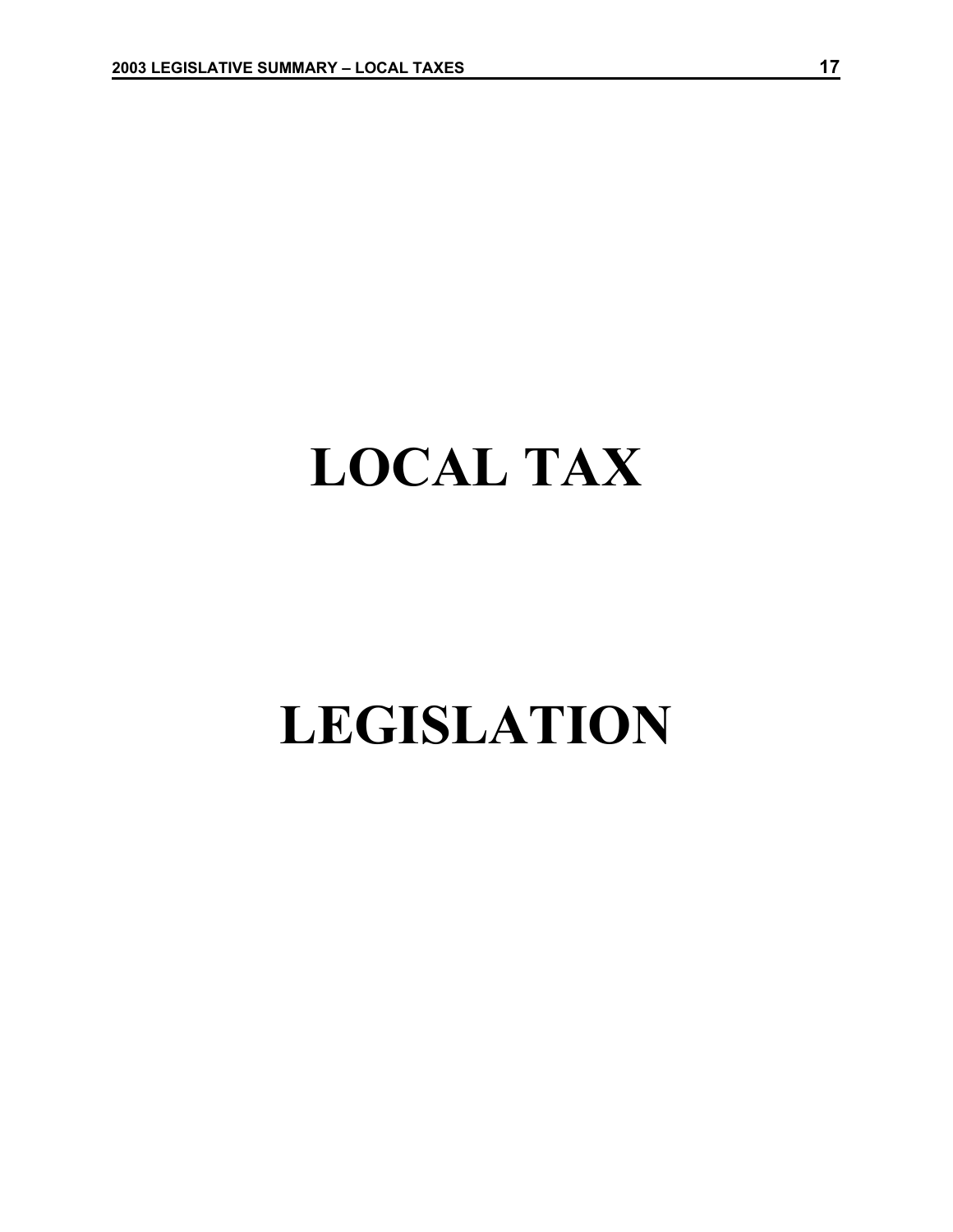# **LOCAL TAX**

## **LEGISLATION**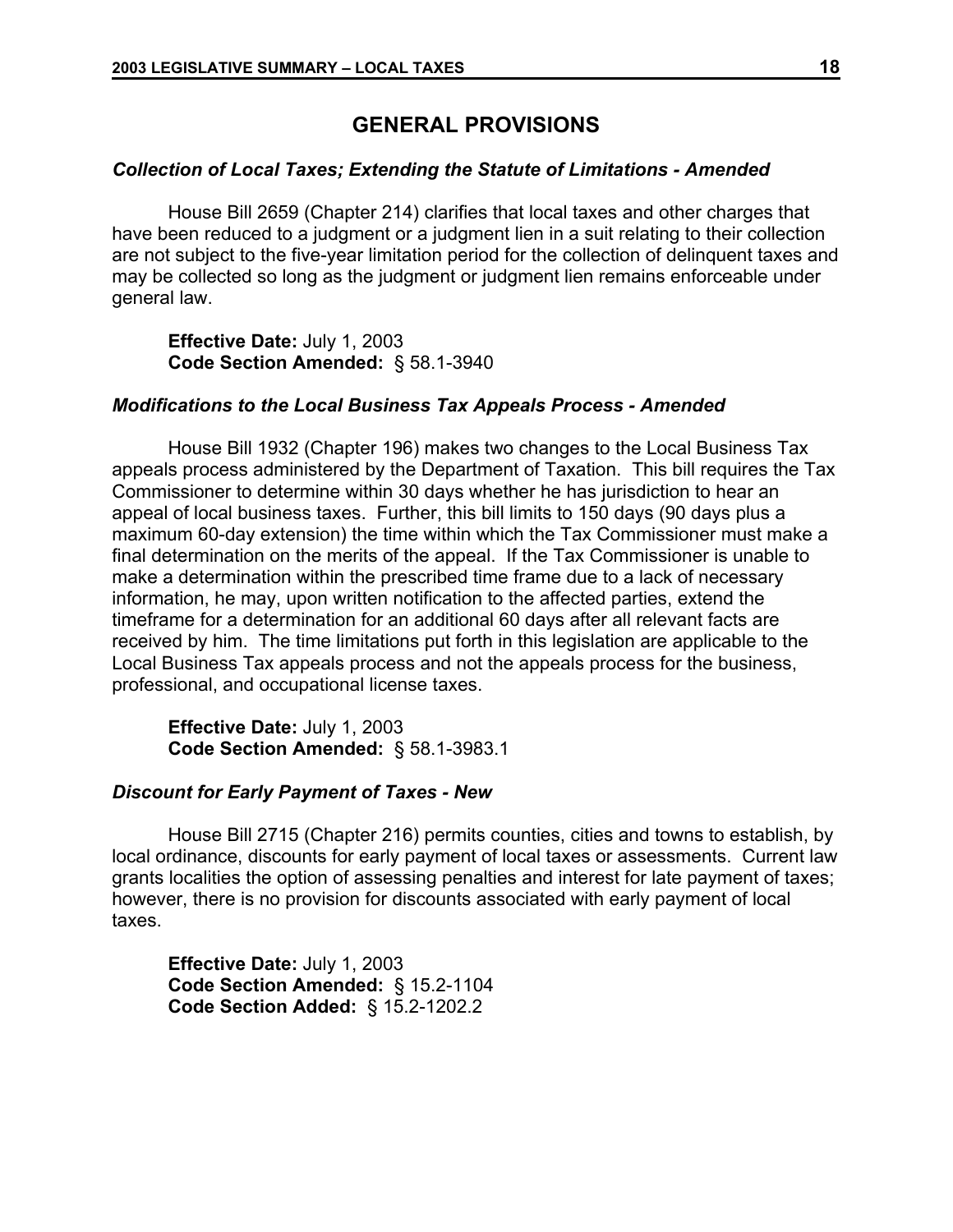## **GENERAL PROVISIONS**

## *Collection of Local Taxes; Extending the Statute of Limitations - Amended*

House Bill 2659 (Chapter 214) clarifies that local taxes and other charges that have been reduced to a judgment or a judgment lien in a suit relating to their collection are not subject to the five-year limitation period for the collection of delinquent taxes and may be collected so long as the judgment or judgment lien remains enforceable under general law.

**Effective Date:** July 1, 2003 **Code Section Amended:** § 58.1-3940

## *Modifications to the Local Business Tax Appeals Process - Amended*

House Bill 1932 (Chapter 196) makes two changes to the Local Business Tax appeals process administered by the Department of Taxation. This bill requires the Tax Commissioner to determine within 30 days whether he has jurisdiction to hear an appeal of local business taxes. Further, this bill limits to 150 days (90 days plus a maximum 60-day extension) the time within which the Tax Commissioner must make a final determination on the merits of the appeal. If the Tax Commissioner is unable to make a determination within the prescribed time frame due to a lack of necessary information, he may, upon written notification to the affected parties, extend the timeframe for a determination for an additional 60 days after all relevant facts are received by him. The time limitations put forth in this legislation are applicable to the Local Business Tax appeals process and not the appeals process for the business, professional, and occupational license taxes.

**Effective Date:** July 1, 2003 **Code Section Amended:** § 58.1-3983.1

### *Discount for Early Payment of Taxes - New*

House Bill 2715 (Chapter 216) permits counties, cities and towns to establish, by local ordinance, discounts for early payment of local taxes or assessments. Current law grants localities the option of assessing penalties and interest for late payment of taxes; however, there is no provision for discounts associated with early payment of local taxes.

**Effective Date:** July 1, 2003 **Code Section Amended:** § 15.2-1104 **Code Section Added:** § 15.2-1202.2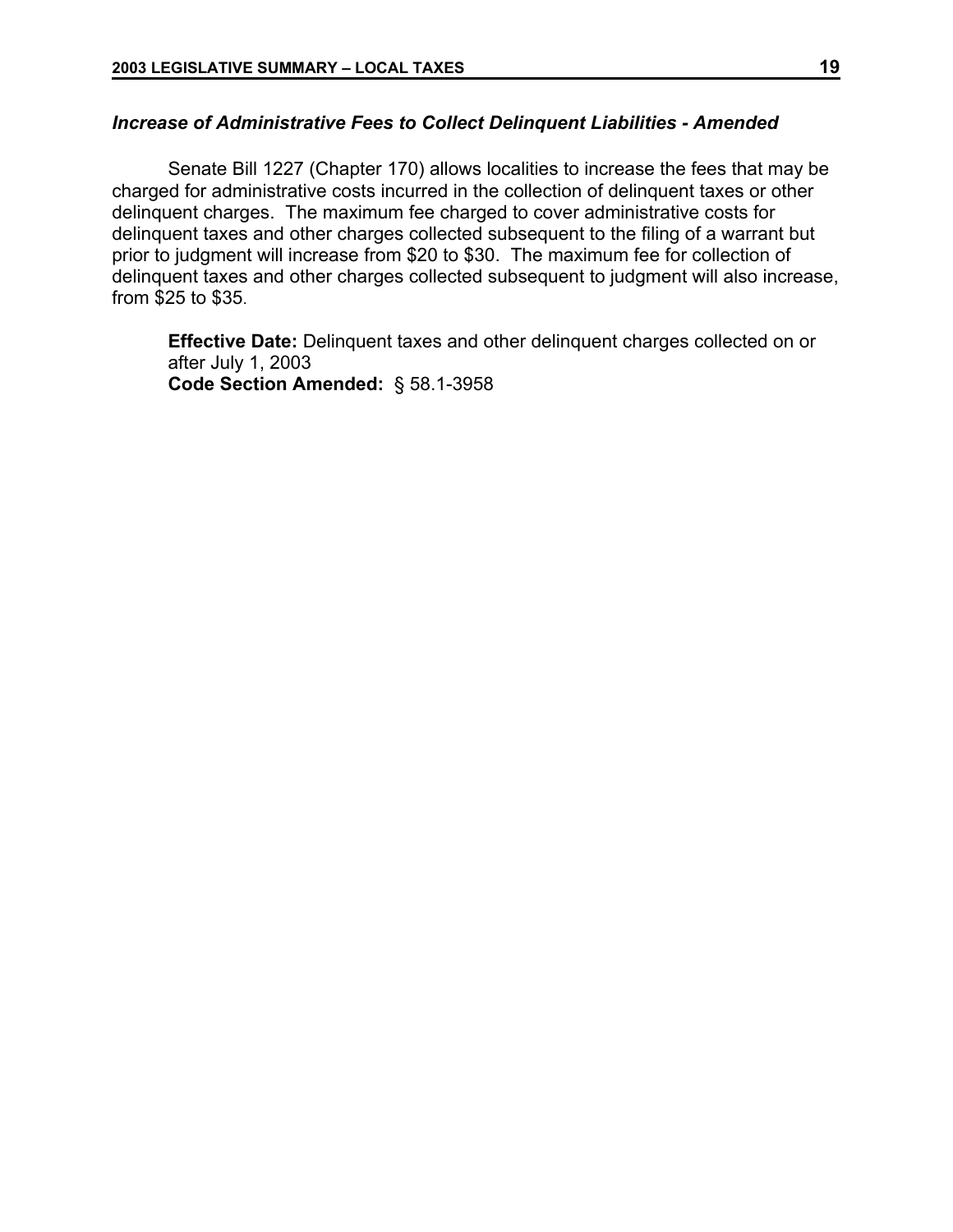## *Increase of Administrative Fees to Collect Delinquent Liabilities - Amended*

Senate Bill 1227 (Chapter 170) allows localities to increase the fees that may be charged for administrative costs incurred in the collection of delinquent taxes or other delinquent charges. The maximum fee charged to cover administrative costs for delinquent taxes and other charges collected subsequent to the filing of a warrant but prior to judgment will increase from \$20 to \$30. The maximum fee for collection of delinquent taxes and other charges collected subsequent to judgment will also increase, from \$25 to \$35.

**Effective Date:** Delinquent taxes and other delinquent charges collected on or after July 1, 2003 **Code Section Amended:** § 58.1-3958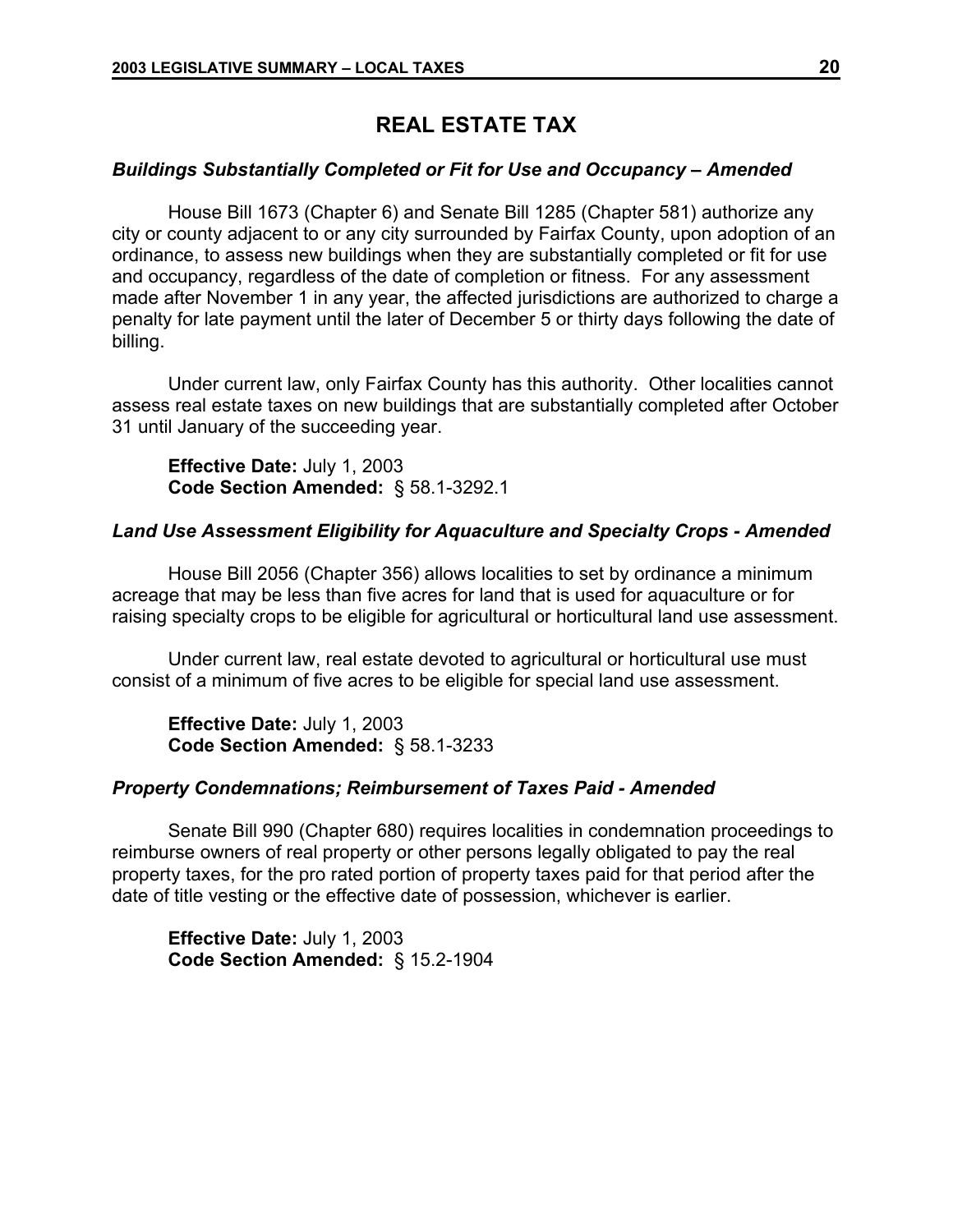## **REAL ESTATE TAX**

### *Buildings Substantially Completed or Fit for Use and Occupancy – Amended*

House Bill 1673 (Chapter 6) and Senate Bill 1285 (Chapter 581) authorize any city or county adjacent to or any city surrounded by Fairfax County, upon adoption of an ordinance, to assess new buildings when they are substantially completed or fit for use and occupancy, regardless of the date of completion or fitness. For any assessment made after November 1 in any year, the affected jurisdictions are authorized to charge a penalty for late payment until the later of December 5 or thirty days following the date of billing.

Under current law, only Fairfax County has this authority. Other localities cannot assess real estate taxes on new buildings that are substantially completed after October 31 until January of the succeeding year.

**Effective Date:** July 1, 2003 **Code Section Amended:** § 58.1-3292.1

## *Land Use Assessment Eligibility for Aquaculture and Specialty Crops - Amended*

House Bill 2056 (Chapter 356) allows localities to set by ordinance a minimum acreage that may be less than five acres for land that is used for aquaculture or for raising specialty crops to be eligible for agricultural or horticultural land use assessment.

Under current law, real estate devoted to agricultural or horticultural use must consist of a minimum of five acres to be eligible for special land use assessment.

**Effective Date:** July 1, 2003 **Code Section Amended:** § 58.1-3233

## *Property Condemnations; Reimbursement of Taxes Paid - Amended*

Senate Bill 990 (Chapter 680) requires localities in condemnation proceedings to reimburse owners of real property or other persons legally obligated to pay the real property taxes, for the pro rated portion of property taxes paid for that period after the date of title vesting or the effective date of possession, whichever is earlier.

**Effective Date:** July 1, 2003 **Code Section Amended:** § 15.2-1904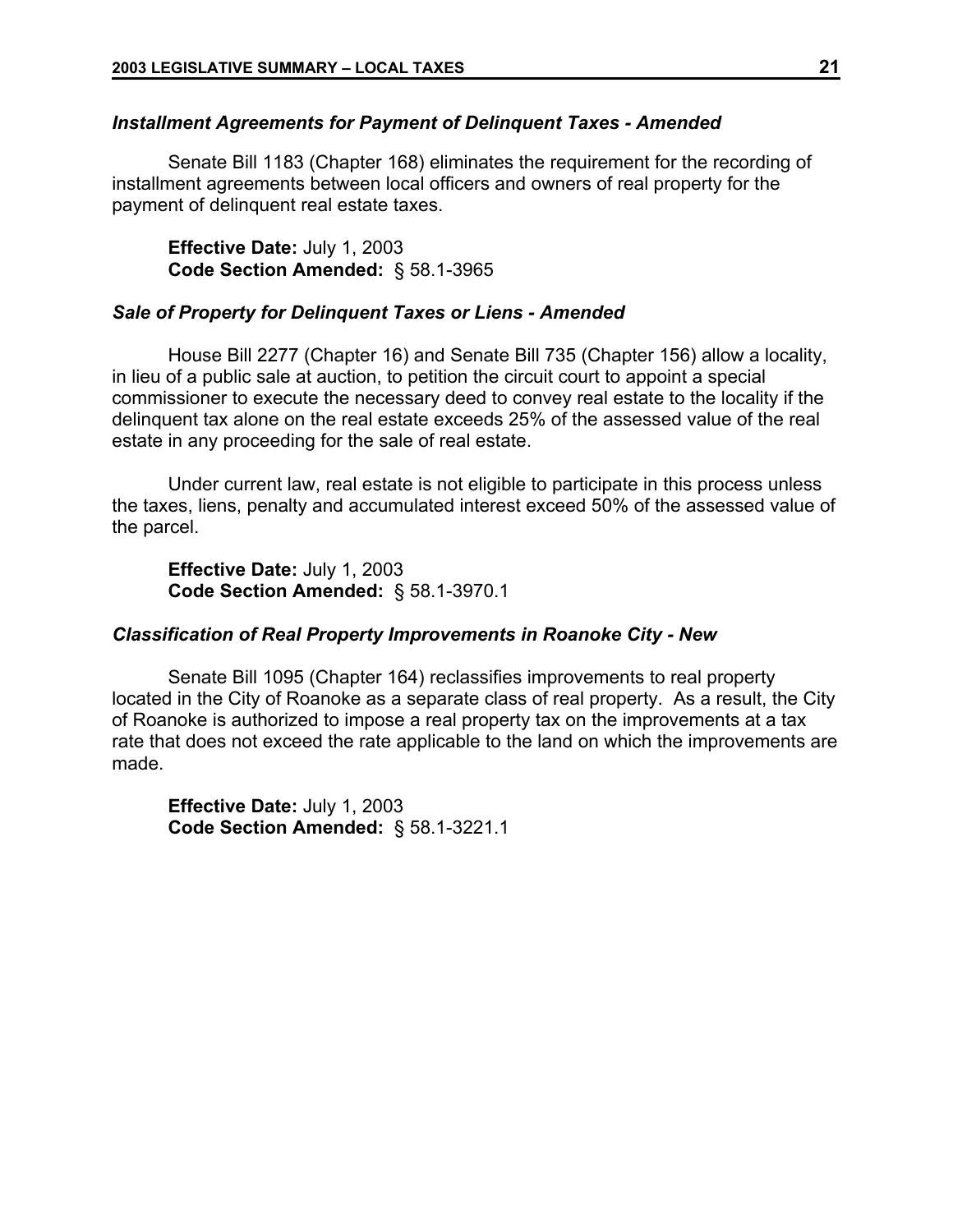### *Installment Agreements for Payment of Delinquent Taxes - Amended*

Senate Bill 1183 (Chapter 168) eliminates the requirement for the recording of installment agreements between local officers and owners of real property for the payment of delinquent real estate taxes.

**Effective Date:** July 1, 2003 **Code Section Amended:** § 58.1-3965

### *Sale of Property for Delinquent Taxes or Liens - Amended*

House Bill 2277 (Chapter 16) and Senate Bill 735 (Chapter 156) allow a locality, in lieu of a public sale at auction, to petition the circuit court to appoint a special commissioner to execute the necessary deed to convey real estate to the locality if the delinquent tax alone on the real estate exceeds 25% of the assessed value of the real estate in any proceeding for the sale of real estate.

Under current law, real estate is not eligible to participate in this process unless the taxes, liens, penalty and accumulated interest exceed 50% of the assessed value of the parcel.

**Effective Date:** July 1, 2003 **Code Section Amended:** § 58.1-3970.1

## *Classification of Real Property Improvements in Roanoke City - New*

Senate Bill 1095 (Chapter 164) reclassifies improvements to real property located in the City of Roanoke as a separate class of real property. As a result, the City of Roanoke is authorized to impose a real property tax on the improvements at a tax rate that does not exceed the rate applicable to the land on which the improvements are made.

**Effective Date:** July 1, 2003 **Code Section Amended:** § 58.1-3221.1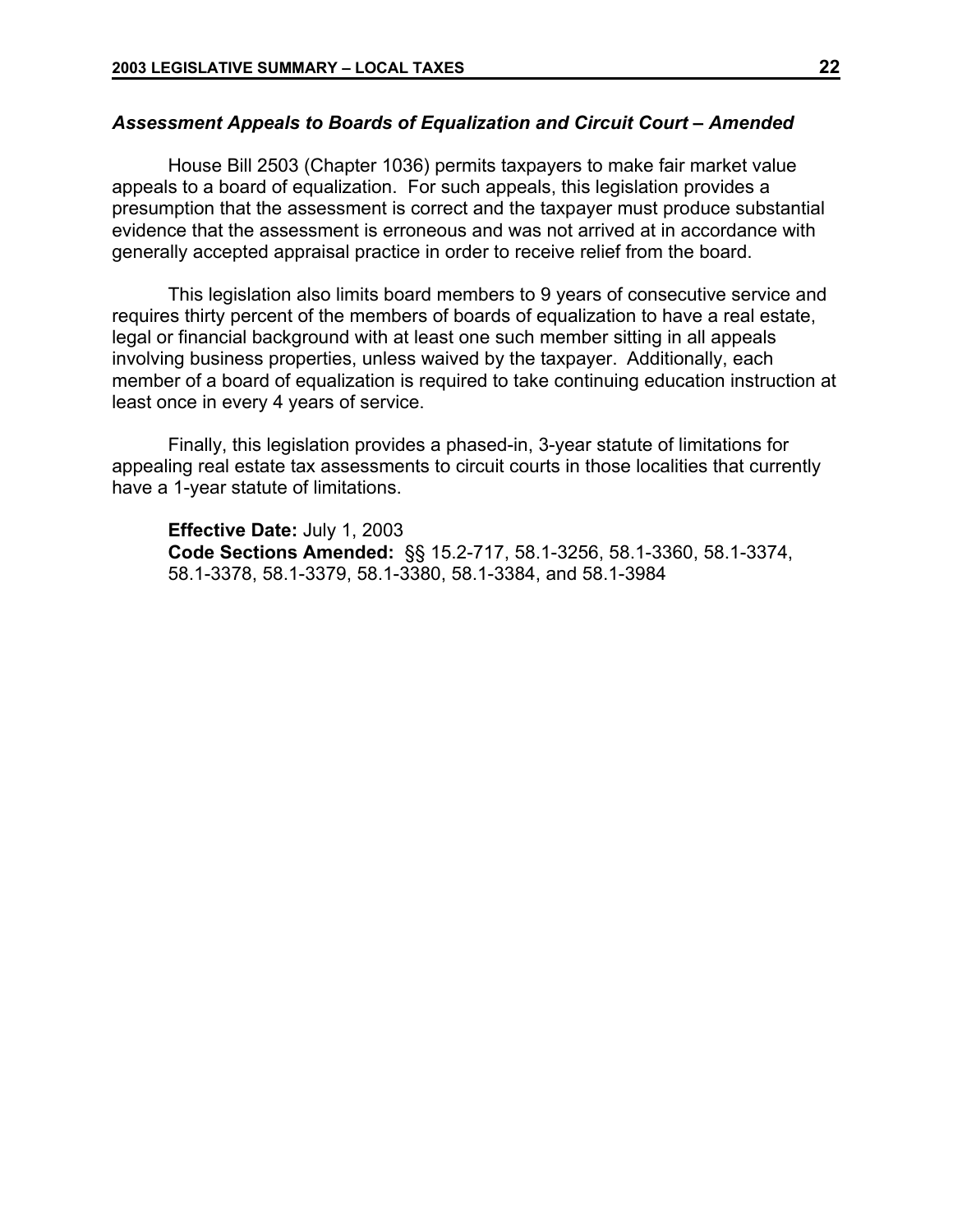## *Assessment Appeals to Boards of Equalization and Circuit Court – Amended*

House Bill 2503 (Chapter 1036) permits taxpayers to make fair market value appeals to a board of equalization. For such appeals, this legislation provides a presumption that the assessment is correct and the taxpayer must produce substantial evidence that the assessment is erroneous and was not arrived at in accordance with generally accepted appraisal practice in order to receive relief from the board.

This legislation also limits board members to 9 years of consecutive service and requires thirty percent of the members of boards of equalization to have a real estate, legal or financial background with at least one such member sitting in all appeals involving business properties, unless waived by the taxpayer. Additionally, each member of a board of equalization is required to take continuing education instruction at least once in every 4 years of service.

Finally, this legislation provides a phased-in, 3-year statute of limitations for appealing real estate tax assessments to circuit courts in those localities that currently have a 1-year statute of limitations.

**Effective Date:** July 1, 2003 **Code Sections Amended:** §§ 15.2-717, 58.1-3256, 58.1-3360, 58.1-3374, 58.1-3378, 58.1-3379, 58.1-3380, 58.1-3384, and 58.1-3984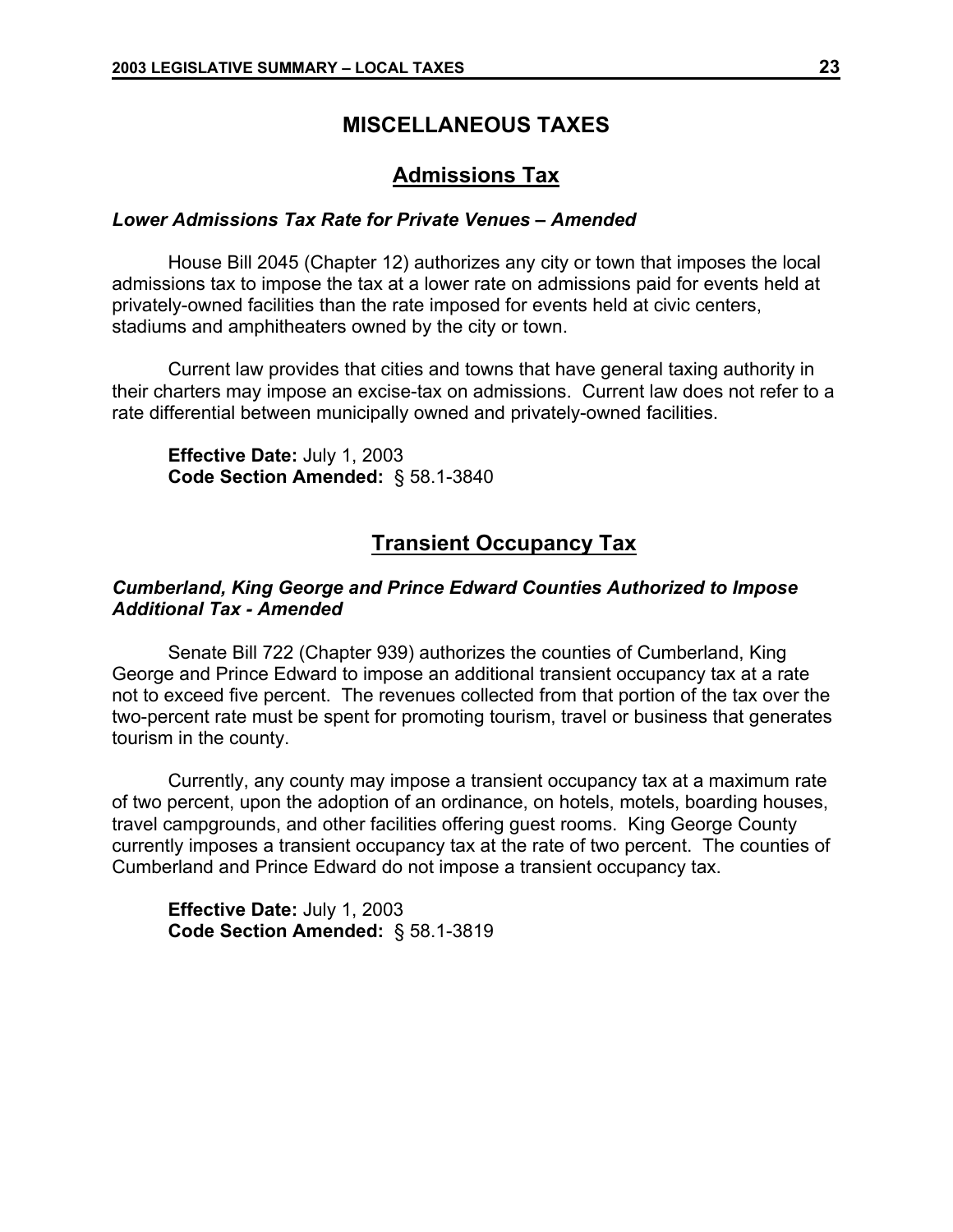## **MISCELLANEOUS TAXES**

## **Admissions Tax**

## *Lower Admissions Tax Rate for Private Venues – Amended*

House Bill 2045 (Chapter 12) authorizes any city or town that imposes the local admissions tax to impose the tax at a lower rate on admissions paid for events held at privately-owned facilities than the rate imposed for events held at civic centers, stadiums and amphitheaters owned by the city or town.

Current law provides that cities and towns that have general taxing authority in their charters may impose an excise-tax on admissions. Current law does not refer to a rate differential between municipally owned and privately-owned facilities.

**Effective Date:** July 1, 2003 **Code Section Amended:** § 58.1-3840

## **Transient Occupancy Tax**

## *Cumberland, King George and Prince Edward Counties Authorized to Impose Additional Tax - Amended*

Senate Bill 722 (Chapter 939) authorizes the counties of Cumberland, King George and Prince Edward to impose an additional transient occupancy tax at a rate not to exceed five percent. The revenues collected from that portion of the tax over the two-percent rate must be spent for promoting tourism, travel or business that generates tourism in the county.

Currently, any county may impose a transient occupancy tax at a maximum rate of two percent, upon the adoption of an ordinance, on hotels, motels, boarding houses, travel campgrounds, and other facilities offering guest rooms. King George County currently imposes a transient occupancy tax at the rate of two percent. The counties of Cumberland and Prince Edward do not impose a transient occupancy tax.

**Effective Date:** July 1, 2003 **Code Section Amended:** § 58.1-3819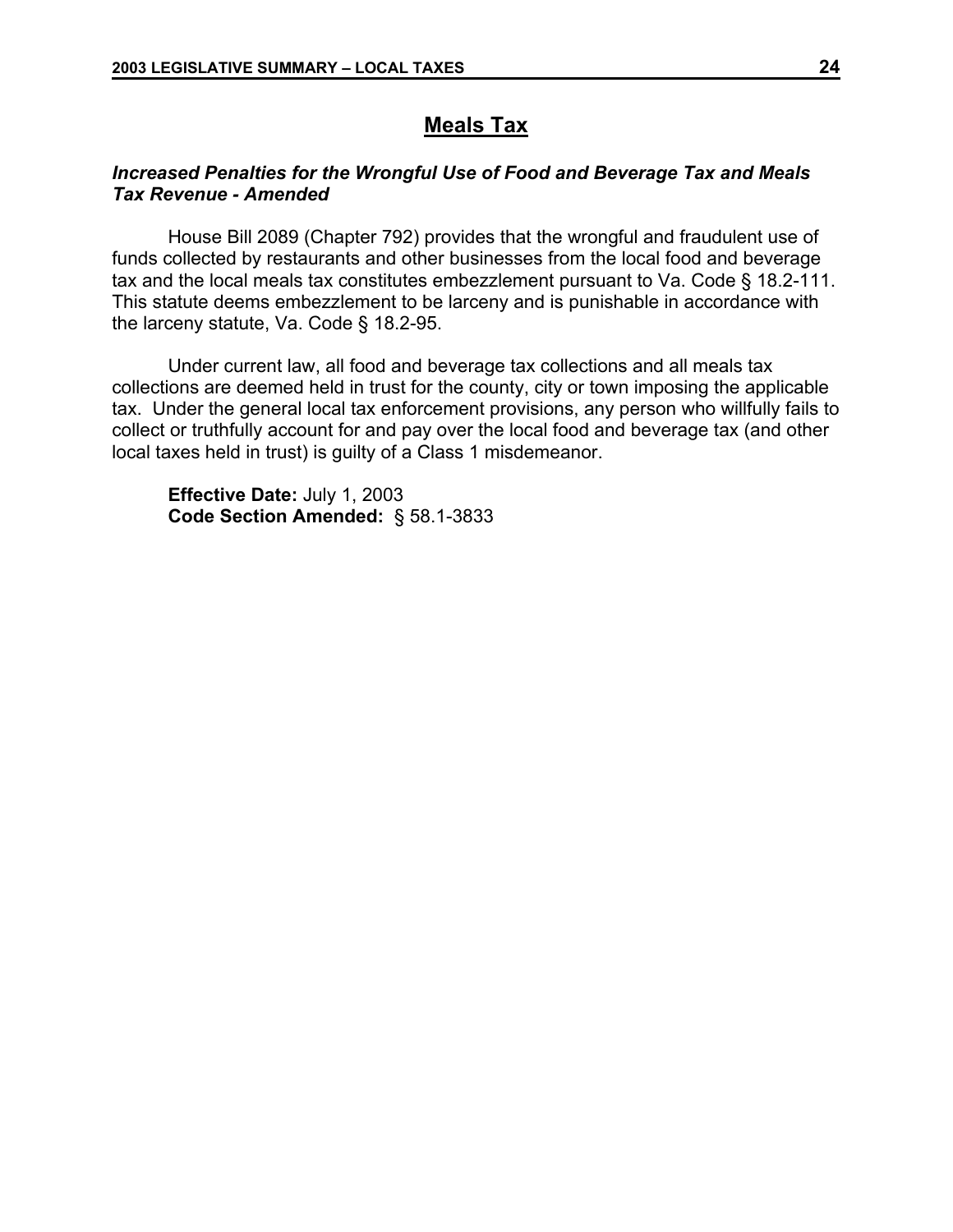## **Meals Tax**

## *Increased Penalties for the Wrongful Use of Food and Beverage Tax and Meals Tax Revenue - Amended*

House Bill 2089 (Chapter 792) provides that the wrongful and fraudulent use of funds collected by restaurants and other businesses from the local food and beverage tax and the local meals tax constitutes embezzlement pursuant to Va. Code § 18.2-111. This statute deems embezzlement to be larceny and is punishable in accordance with the larceny statute, Va. Code § 18.2-95.

Under current law, all food and beverage tax collections and all meals tax collections are deemed held in trust for the county, city or town imposing the applicable tax. Under the general local tax enforcement provisions, any person who willfully fails to collect or truthfully account for and pay over the local food and beverage tax (and other local taxes held in trust) is guilty of a Class 1 misdemeanor.

**Effective Date:** July 1, 2003 **Code Section Amended:** § 58.1-3833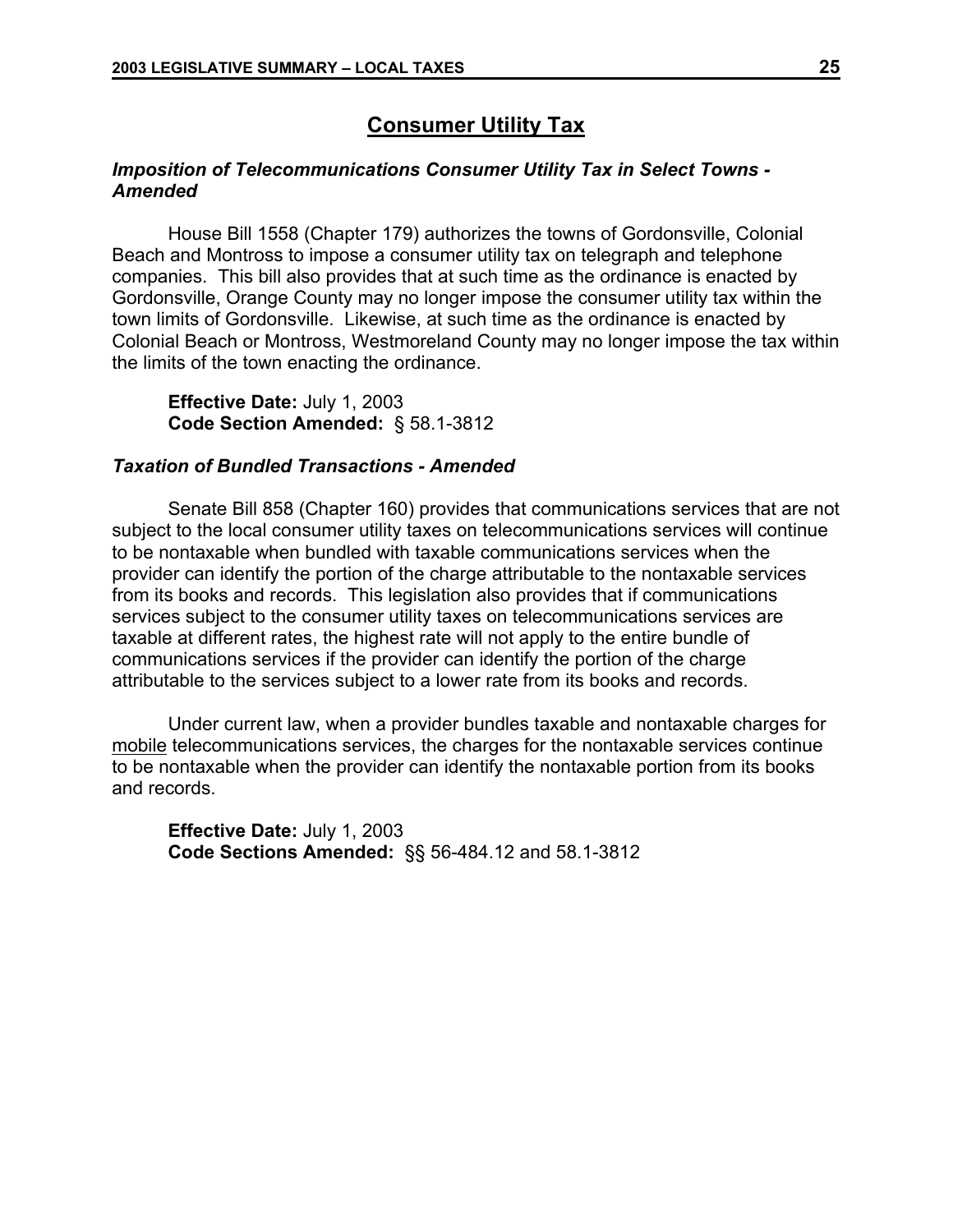## **Consumer Utility Tax**

## *Imposition of Telecommunications Consumer Utility Tax in Select Towns - Amended*

House Bill 1558 (Chapter 179) authorizes the towns of Gordonsville, Colonial Beach and Montross to impose a consumer utility tax on telegraph and telephone companies. This bill also provides that at such time as the ordinance is enacted by Gordonsville, Orange County may no longer impose the consumer utility tax within the town limits of Gordonsville. Likewise, at such time as the ordinance is enacted by Colonial Beach or Montross, Westmoreland County may no longer impose the tax within the limits of the town enacting the ordinance.

**Effective Date:** July 1, 2003 **Code Section Amended:** § 58.1-3812

### *Taxation of Bundled Transactions - Amended*

Senate Bill 858 (Chapter 160) provides that communications services that are not subject to the local consumer utility taxes on telecommunications services will continue to be nontaxable when bundled with taxable communications services when the provider can identify the portion of the charge attributable to the nontaxable services from its books and records. This legislation also provides that if communications services subject to the consumer utility taxes on telecommunications services are taxable at different rates, the highest rate will not apply to the entire bundle of communications services if the provider can identify the portion of the charge attributable to the services subject to a lower rate from its books and records.

Under current law, when a provider bundles taxable and nontaxable charges for mobile telecommunications services, the charges for the nontaxable services continue to be nontaxable when the provider can identify the nontaxable portion from its books and records.

**Effective Date:** July 1, 2003 **Code Sections Amended:** §§ 56-484.12 and 58.1-3812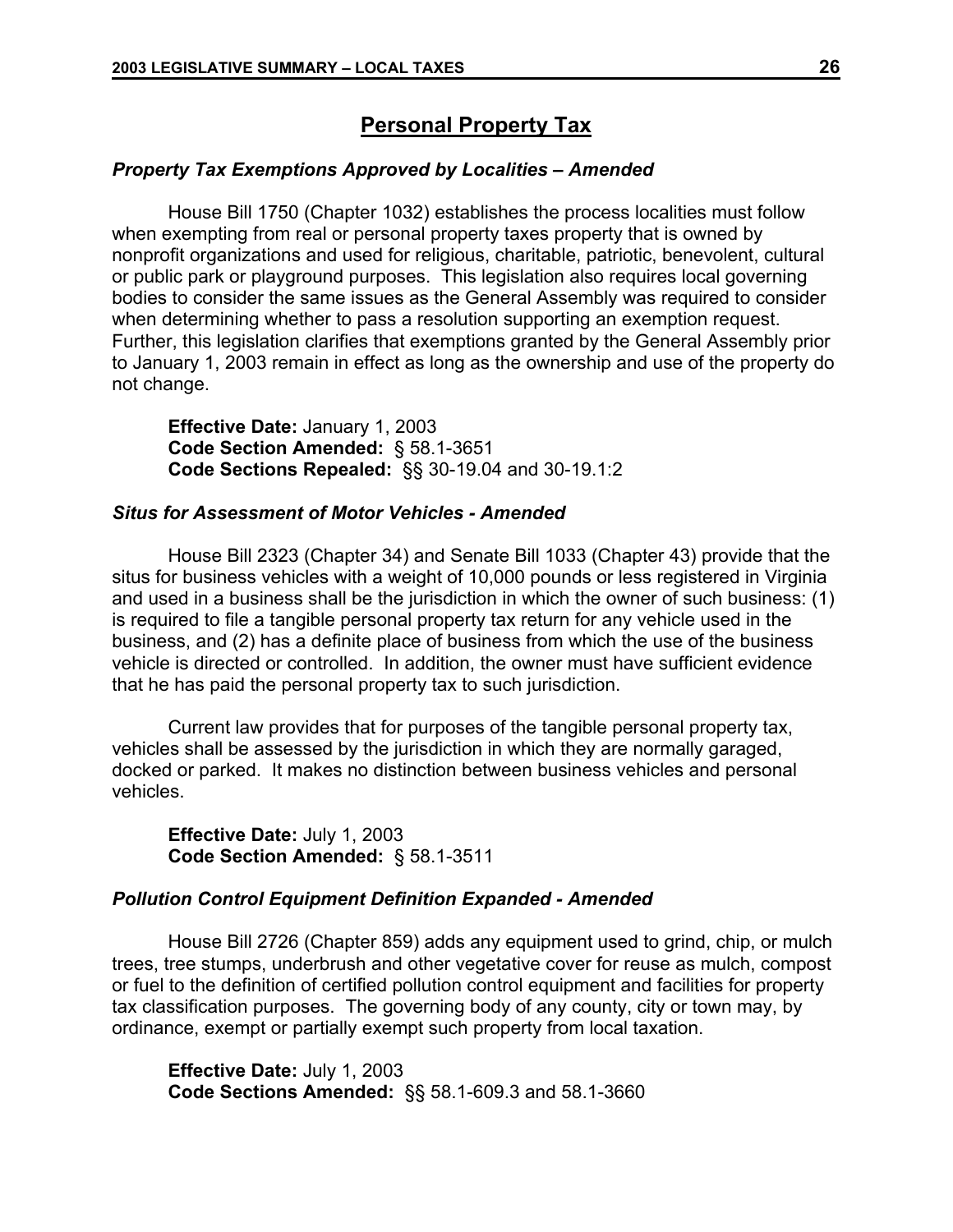## **Personal Property Tax**

### *Property Tax Exemptions Approved by Localities – Amended*

House Bill 1750 (Chapter 1032) establishes the process localities must follow when exempting from real or personal property taxes property that is owned by nonprofit organizations and used for religious, charitable, patriotic, benevolent, cultural or public park or playground purposes. This legislation also requires local governing bodies to consider the same issues as the General Assembly was required to consider when determining whether to pass a resolution supporting an exemption request. Further, this legislation clarifies that exemptions granted by the General Assembly prior to January 1, 2003 remain in effect as long as the ownership and use of the property do not change.

**Effective Date:** January 1, 2003 **Code Section Amended:** § 58.1-3651 **Code Sections Repealed:** §§ 30-19.04 and 30-19.1:2

### *Situs for Assessment of Motor Vehicles - Amended*

House Bill 2323 (Chapter 34) and Senate Bill 1033 (Chapter 43) provide that the situs for business vehicles with a weight of 10,000 pounds or less registered in Virginia and used in a business shall be the jurisdiction in which the owner of such business: (1) is required to file a tangible personal property tax return for any vehicle used in the business, and (2) has a definite place of business from which the use of the business vehicle is directed or controlled. In addition, the owner must have sufficient evidence that he has paid the personal property tax to such jurisdiction.

Current law provides that for purposes of the tangible personal property tax, vehicles shall be assessed by the jurisdiction in which they are normally garaged, docked or parked. It makes no distinction between business vehicles and personal vehicles.

**Effective Date:** July 1, 2003 **Code Section Amended:** § 58.1-3511

### *Pollution Control Equipment Definition Expanded - Amended*

House Bill 2726 (Chapter 859) adds any equipment used to grind, chip, or mulch trees, tree stumps, underbrush and other vegetative cover for reuse as mulch, compost or fuel to the definition of certified pollution control equipment and facilities for property tax classification purposes. The governing body of any county, city or town may, by ordinance, exempt or partially exempt such property from local taxation.

**Effective Date:** July 1, 2003 **Code Sections Amended:** §§ 58.1-609.3 and 58.1-3660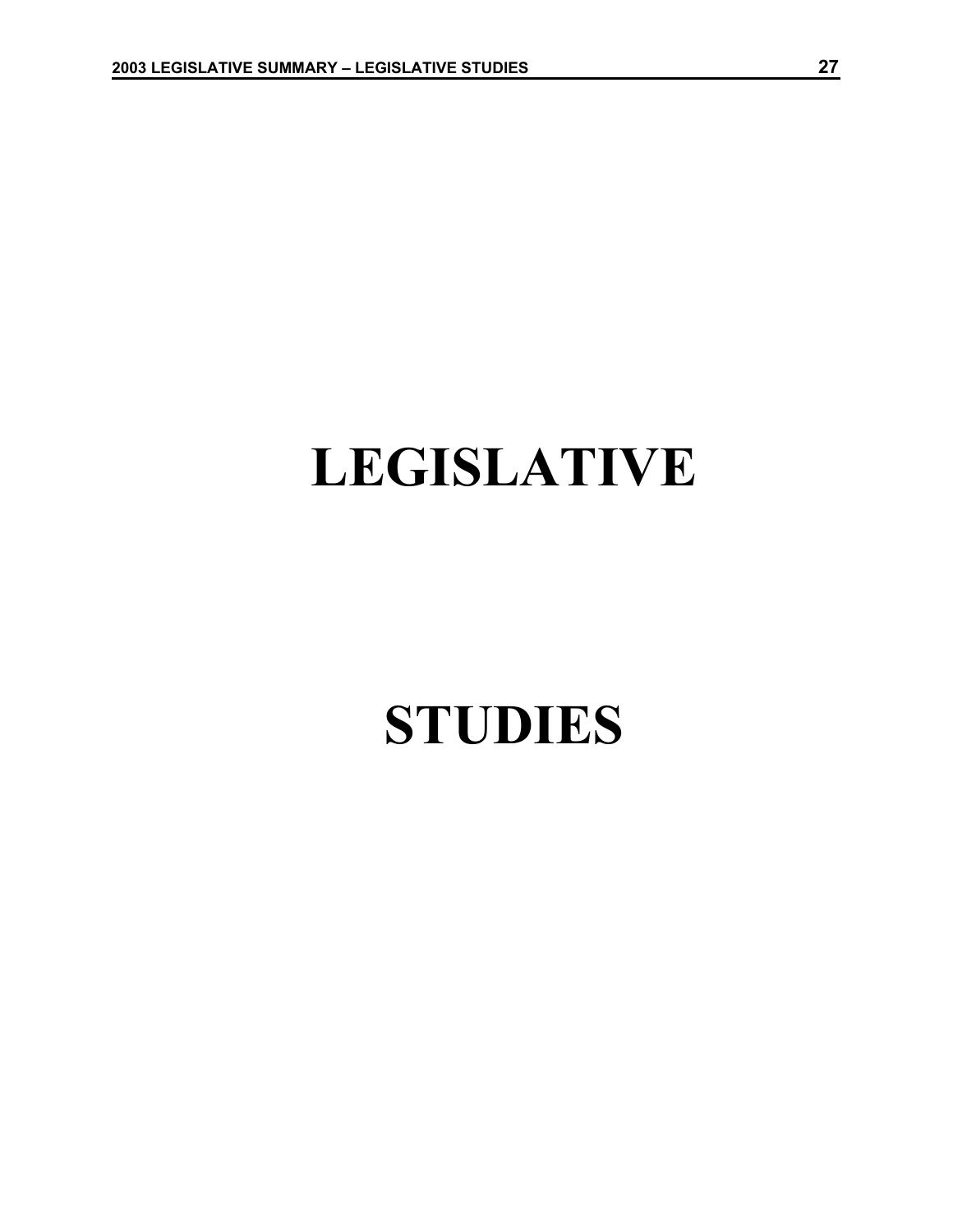# **LEGISLATIVE**

## **STUDIES**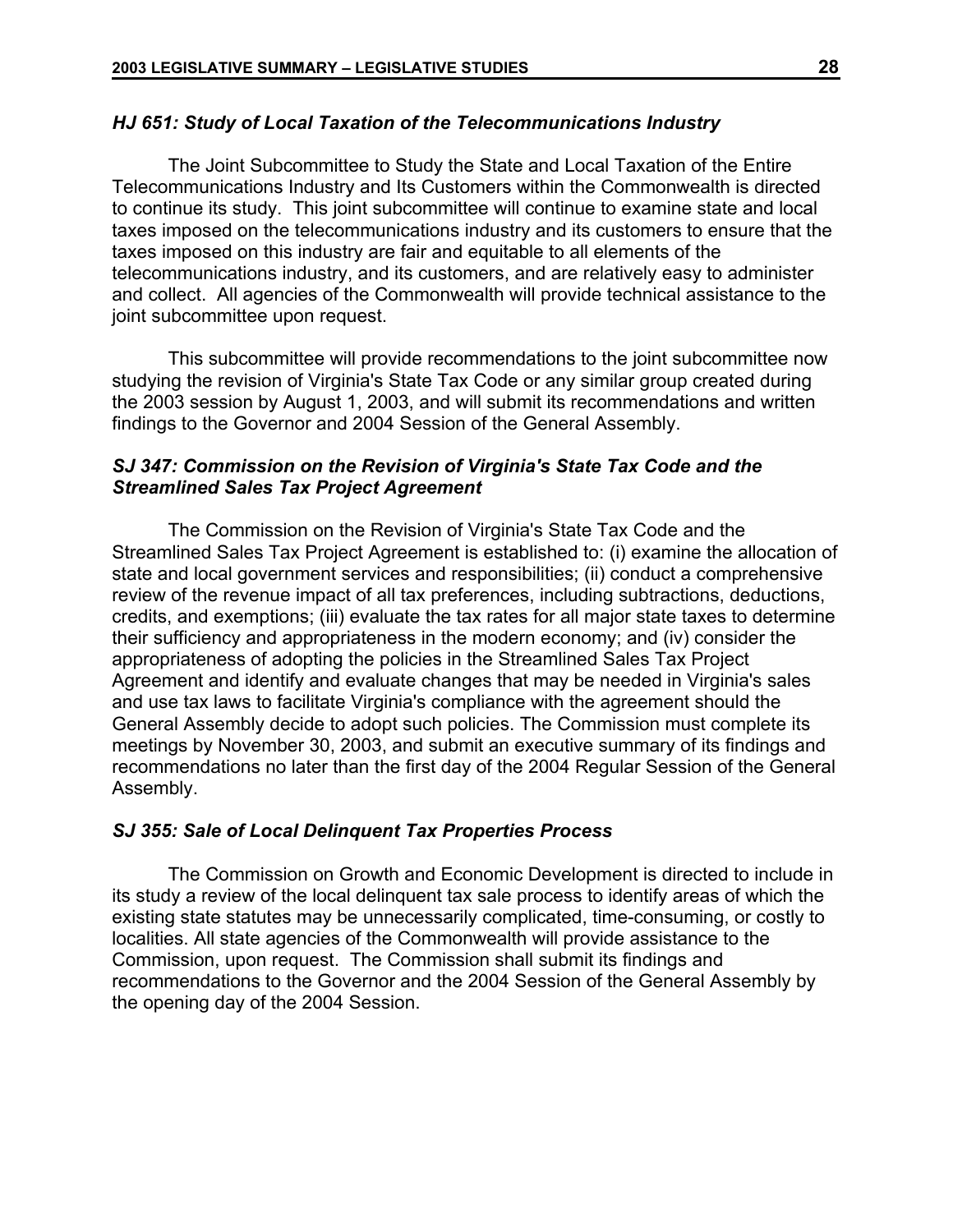### *HJ 651: Study of Local Taxation of the Telecommunications Industry*

The Joint Subcommittee to Study the State and Local Taxation of the Entire Telecommunications Industry and Its Customers within the Commonwealth is directed to continue its study. This joint subcommittee will continue to examine state and local taxes imposed on the telecommunications industry and its customers to ensure that the taxes imposed on this industry are fair and equitable to all elements of the telecommunications industry, and its customers, and are relatively easy to administer and collect. All agencies of the Commonwealth will provide technical assistance to the joint subcommittee upon request.

This subcommittee will provide recommendations to the joint subcommittee now studying the revision of Virginia's State Tax Code or any similar group created during the 2003 session by August 1, 2003, and will submit its recommendations and written findings to the Governor and 2004 Session of the General Assembly.

## *SJ 347: Commission on the Revision of Virginia's State Tax Code and the Streamlined Sales Tax Project Agreement*

The Commission on the Revision of Virginia's State Tax Code and the Streamlined Sales Tax Project Agreement is established to: (i) examine the allocation of state and local government services and responsibilities; (ii) conduct a comprehensive review of the revenue impact of all tax preferences, including subtractions, deductions, credits, and exemptions; (iii) evaluate the tax rates for all major state taxes to determine their sufficiency and appropriateness in the modern economy; and (iv) consider the appropriateness of adopting the policies in the Streamlined Sales Tax Project Agreement and identify and evaluate changes that may be needed in Virginia's sales and use tax laws to facilitate Virginia's compliance with the agreement should the General Assembly decide to adopt such policies. The Commission must complete its meetings by November 30, 2003, and submit an executive summary of its findings and recommendations no later than the first day of the 2004 Regular Session of the General Assembly.

## *SJ 355: Sale of Local Delinquent Tax Properties Process*

The Commission on Growth and Economic Development is directed to include in its study a review of the local delinquent tax sale process to identify areas of which the existing state statutes may be unnecessarily complicated, time-consuming, or costly to localities. All state agencies of the Commonwealth will provide assistance to the Commission, upon request. The Commission shall submit its findings and recommendations to the Governor and the 2004 Session of the General Assembly by the opening day of the 2004 Session.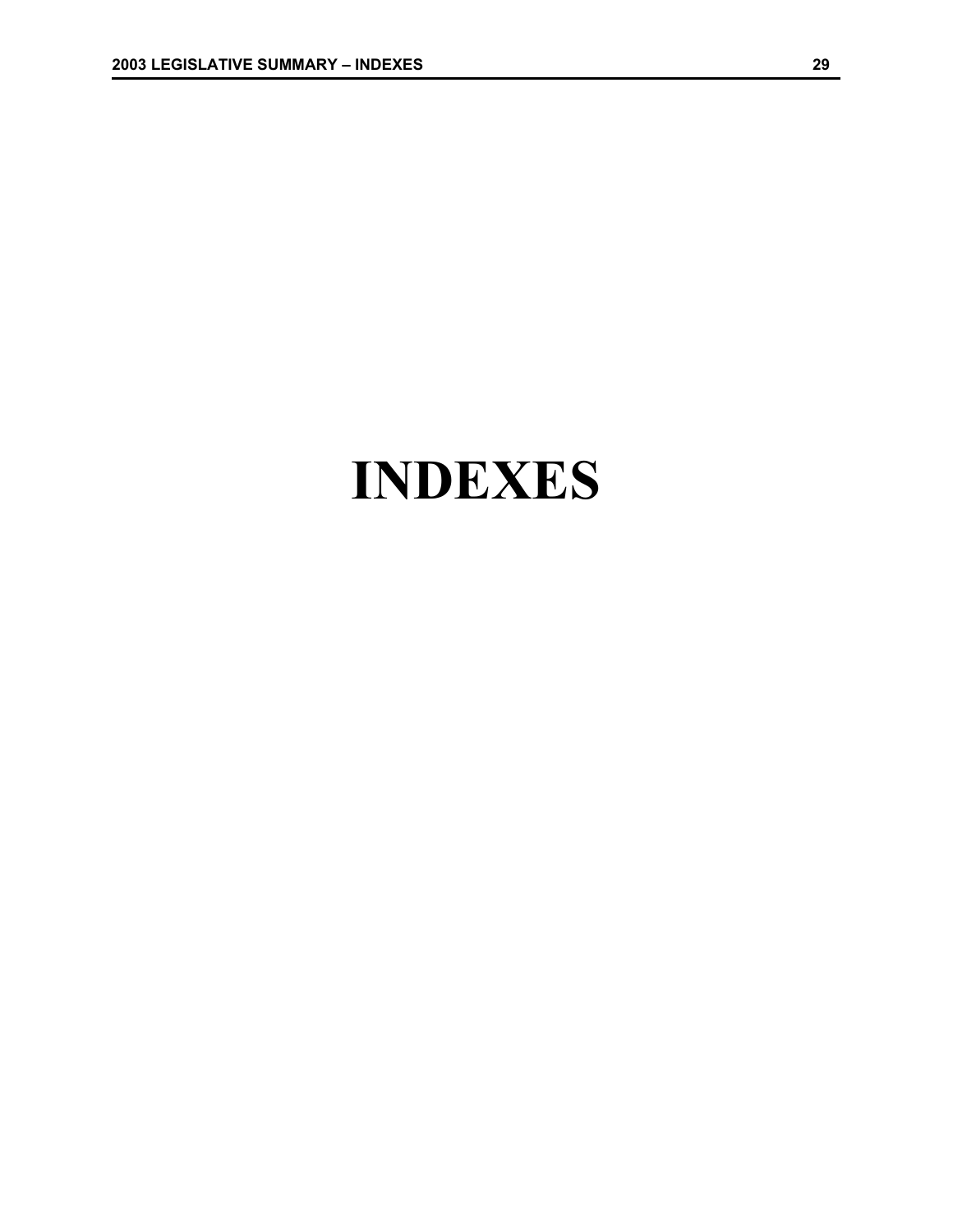## **INDEXES**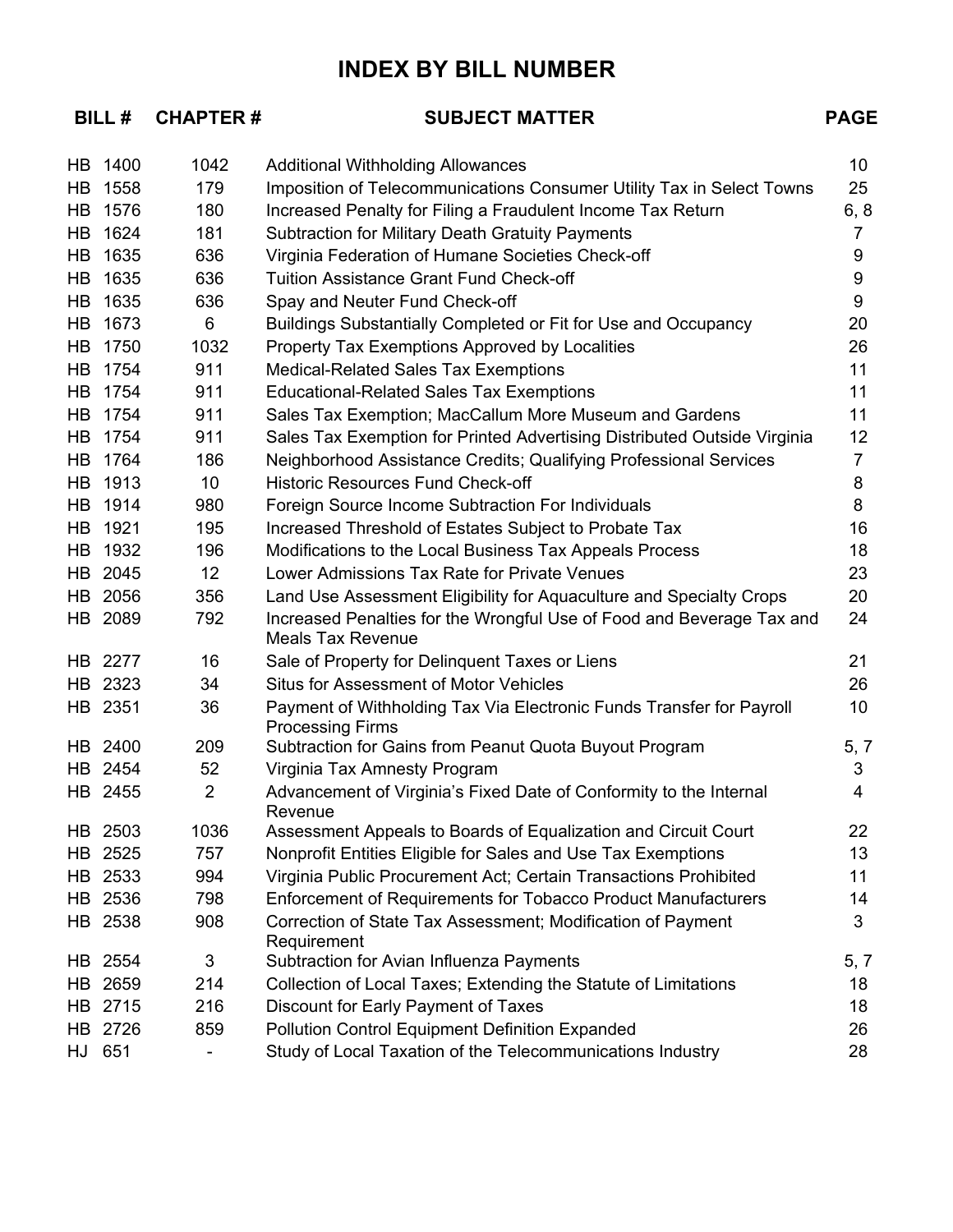## **INDEX BY BILL NUMBER**

## BILL # CHAPTER #

## **BUBJECT MATTER # SUBJECT MATTER**

|    | HB 1400 | 1042           | <b>Additional Withholding Allowances</b>                                                          | 10 <sup>°</sup> |
|----|---------|----------------|---------------------------------------------------------------------------------------------------|-----------------|
| HB | 1558    | 179            | Imposition of Telecommunications Consumer Utility Tax in Select Towns                             | 25              |
|    | HB 1576 | 180            | Increased Penalty for Filing a Fraudulent Income Tax Return                                       | 6, 8            |
| HB | 1624    | 181            | <b>Subtraction for Military Death Gratuity Payments</b>                                           | 7               |
| HB | 1635    | 636            | Virginia Federation of Humane Societies Check-off                                                 | 9               |
|    | HB 1635 | 636            | <b>Tuition Assistance Grant Fund Check-off</b>                                                    | 9               |
| HB | 1635    | 636            | Spay and Neuter Fund Check-off                                                                    | 9               |
|    | HB 1673 | 6              | Buildings Substantially Completed or Fit for Use and Occupancy                                    | 20              |
| HB | 1750    | 1032           | Property Tax Exemptions Approved by Localities                                                    | 26              |
|    | HB 1754 | 911            | <b>Medical-Related Sales Tax Exemptions</b>                                                       | 11              |
|    | HB 1754 | 911            | <b>Educational-Related Sales Tax Exemptions</b>                                                   | 11              |
|    | HB 1754 | 911            | Sales Tax Exemption; MacCallum More Museum and Gardens                                            | 11              |
|    | HB 1754 | 911            | Sales Tax Exemption for Printed Advertising Distributed Outside Virginia                          | 12              |
|    | HB 1764 | 186            | Neighborhood Assistance Credits; Qualifying Professional Services                                 | $\overline{7}$  |
|    | HB 1913 | 10             | <b>Historic Resources Fund Check-off</b>                                                          | 8               |
|    | HB 1914 | 980            | Foreign Source Income Subtraction For Individuals                                                 | 8               |
|    | HB 1921 | 195            | Increased Threshold of Estates Subject to Probate Tax                                             | 16              |
|    | HB 1932 | 196            | Modifications to the Local Business Tax Appeals Process                                           | 18              |
|    | HB 2045 | 12             | Lower Admissions Tax Rate for Private Venues                                                      | 23              |
|    | HB 2056 | 356            | Land Use Assessment Eligibility for Aquaculture and Specialty Crops                               | 20              |
|    | HB 2089 | 792            | Increased Penalties for the Wrongful Use of Food and Beverage Tax and<br><b>Meals Tax Revenue</b> | 24              |
|    | HB 2277 | 16             | Sale of Property for Delinquent Taxes or Liens                                                    | 21              |
|    | HB 2323 | 34             | <b>Situs for Assessment of Motor Vehicles</b>                                                     | 26              |
|    | HB 2351 | 36             | Payment of Withholding Tax Via Electronic Funds Transfer for Payroll<br><b>Processing Firms</b>   | 10              |
|    | HB 2400 | 209            | Subtraction for Gains from Peanut Quota Buyout Program                                            | 5, 7            |
|    | HB 2454 | 52             | Virginia Tax Amnesty Program                                                                      | 3               |
|    | HB 2455 | $\overline{2}$ | Advancement of Virginia's Fixed Date of Conformity to the Internal<br>Revenue                     | 4               |
|    | HB 2503 | 1036           | Assessment Appeals to Boards of Equalization and Circuit Court                                    | 22              |
|    | HB 2525 | 757            | Nonprofit Entities Eligible for Sales and Use Tax Exemptions                                      | 13              |
|    | HB 2533 | 994            | Virginia Public Procurement Act; Certain Transactions Prohibited                                  | 11              |
|    | HB 2536 | 798            | <b>Enforcement of Requirements for Tobacco Product Manufacturers</b>                              | 14              |
|    | HB 2538 | 908            | Correction of State Tax Assessment; Modification of Payment<br>Requirement                        | 3               |
|    | HB 2554 | 3              | Subtraction for Avian Influenza Payments                                                          | 5, 7            |
| HB | 2659    | 214            | Collection of Local Taxes; Extending the Statute of Limitations                                   | 18              |
|    | HB 2715 | 216            | Discount for Early Payment of Taxes                                                               | 18              |
|    | HB 2726 | 859            | <b>Pollution Control Equipment Definition Expanded</b>                                            | 26              |
|    | HJ 651  |                | Study of Local Taxation of the Telecommunications Industry                                        | 28              |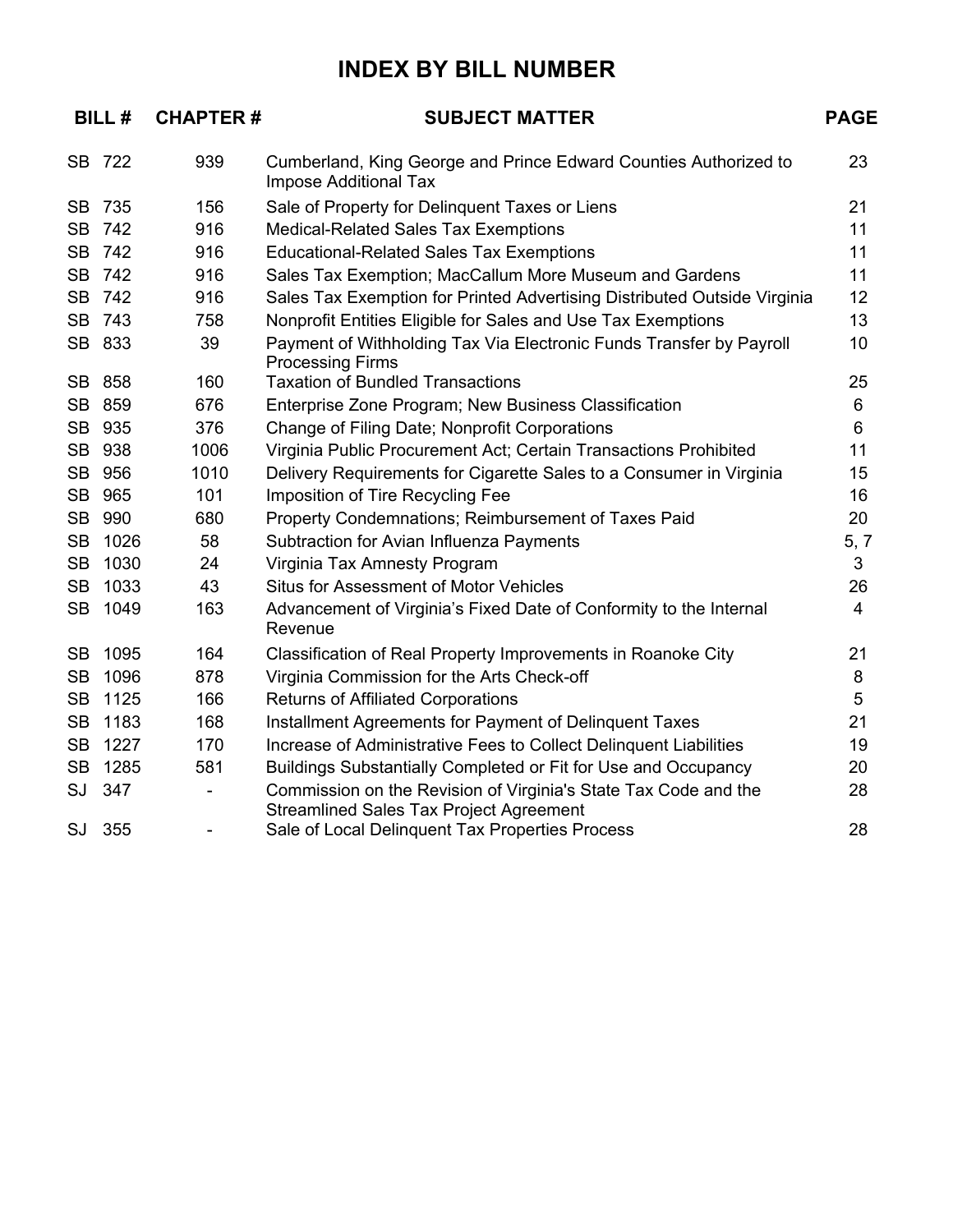## **INDEX BY BILL NUMBER**

|           | <b>BILL#</b> | <b>CHAPTER#</b>          | <b>SUBJECT MATTER</b>                                                                                             | <b>PAGE</b>    |
|-----------|--------------|--------------------------|-------------------------------------------------------------------------------------------------------------------|----------------|
|           | SB 722       | 939                      | Cumberland, King George and Prince Edward Counties Authorized to<br><b>Impose Additional Tax</b>                  | 23             |
| SB.       | 735          | 156                      | Sale of Property for Delinquent Taxes or Liens                                                                    | 21             |
| <b>SB</b> | 742          | 916                      | <b>Medical-Related Sales Tax Exemptions</b>                                                                       | 11             |
|           | SB 742       | 916                      | <b>Educational-Related Sales Tax Exemptions</b>                                                                   | 11             |
|           | SB 742       | 916                      | Sales Tax Exemption; MacCallum More Museum and Gardens                                                            | 11             |
| <b>SB</b> | 742          | 916                      | Sales Tax Exemption for Printed Advertising Distributed Outside Virginia                                          | 12             |
|           | SB 743       | 758                      | Nonprofit Entities Eligible for Sales and Use Tax Exemptions                                                      | 13             |
|           | SB 833       | 39                       | Payment of Withholding Tax Via Electronic Funds Transfer by Payroll<br><b>Processing Firms</b>                    | 10             |
| SB        | 858          | 160                      | <b>Taxation of Bundled Transactions</b>                                                                           | 25             |
| <b>SB</b> | 859          | 676                      | Enterprise Zone Program; New Business Classification                                                              | 6              |
| <b>SB</b> | 935          | 376                      | Change of Filing Date; Nonprofit Corporations                                                                     | 6              |
| <b>SB</b> | 938          | 1006                     | Virginia Public Procurement Act; Certain Transactions Prohibited                                                  | 11             |
| <b>SB</b> | 956          | 1010                     | Delivery Requirements for Cigarette Sales to a Consumer in Virginia                                               | 15             |
| <b>SB</b> | 965          | 101                      | Imposition of Tire Recycling Fee                                                                                  | 16             |
| <b>SB</b> | 990          | 680                      | Property Condemnations; Reimbursement of Taxes Paid                                                               | 20             |
| <b>SB</b> | 1026         | 58                       | Subtraction for Avian Influenza Payments                                                                          | 5, 7           |
| <b>SB</b> | 1030         | 24                       | Virginia Tax Amnesty Program                                                                                      | 3              |
| <b>SB</b> | 1033         | 43                       | <b>Situs for Assessment of Motor Vehicles</b>                                                                     | 26             |
| <b>SB</b> | 1049         | 163                      | Advancement of Virginia's Fixed Date of Conformity to the Internal<br>Revenue                                     | $\overline{4}$ |
| <b>SB</b> | 1095         | 164                      | Classification of Real Property Improvements in Roanoke City                                                      | 21             |
| <b>SB</b> | 1096         | 878                      | Virginia Commission for the Arts Check-off                                                                        | 8              |
| <b>SB</b> | 1125         | 166                      | <b>Returns of Affiliated Corporations</b>                                                                         | 5              |
| <b>SB</b> | 1183         | 168                      | Installment Agreements for Payment of Delinquent Taxes                                                            | 21             |
| <b>SB</b> | 1227         | 170                      | Increase of Administrative Fees to Collect Delinquent Liabilities                                                 | 19             |
| <b>SB</b> | 1285         | 581                      | Buildings Substantially Completed or Fit for Use and Occupancy                                                    | 20             |
|           | SJ 347       | $\overline{\phantom{0}}$ | Commission on the Revision of Virginia's State Tax Code and the<br><b>Streamlined Sales Tax Project Agreement</b> | 28             |
|           | SJ 355       | $\overline{\phantom{0}}$ | Sale of Local Delinquent Tax Properties Process                                                                   | 28             |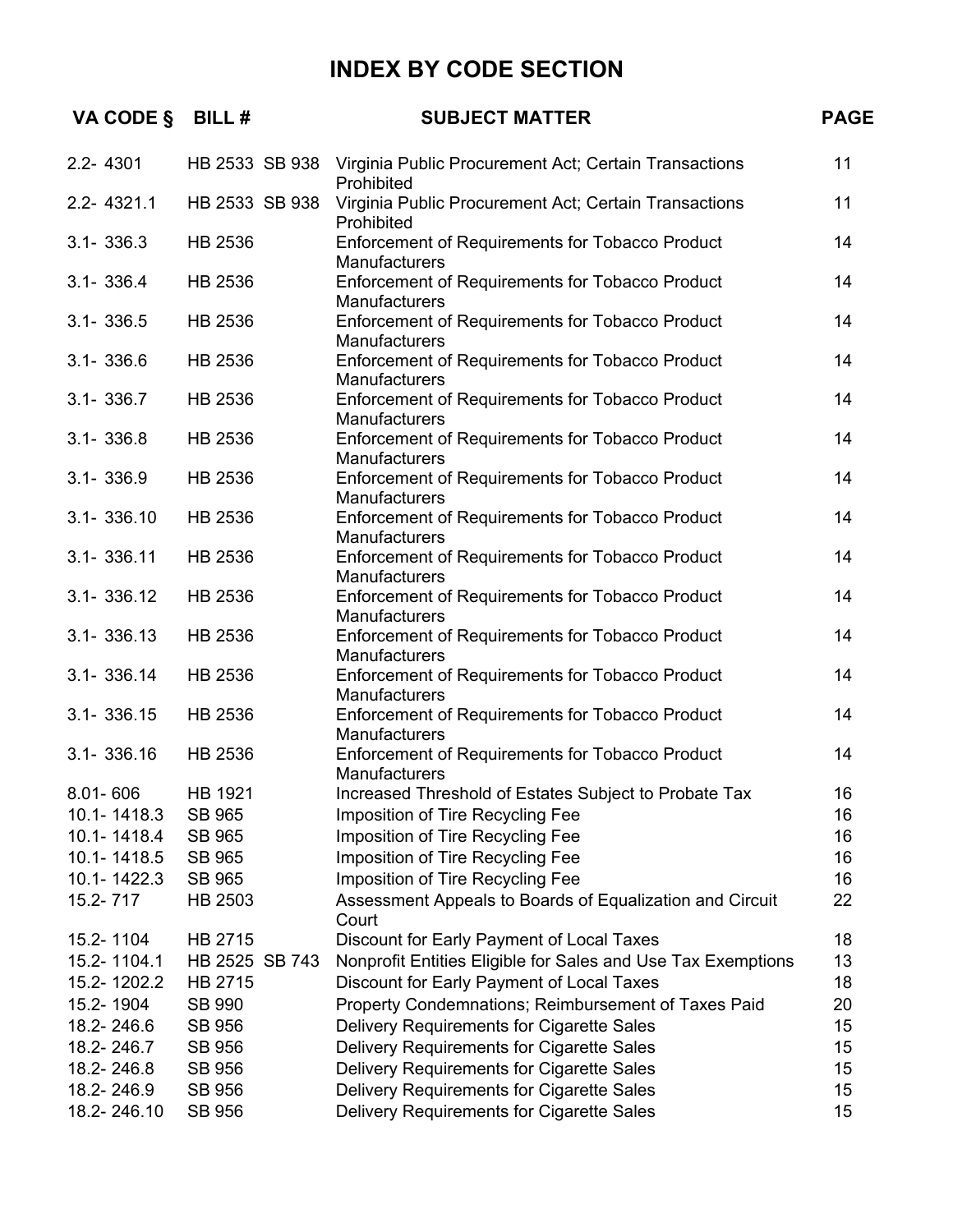| VA CODE §      | <b>BILL#</b>   | <b>SUBJECT MATTER</b>                                                              | <b>PAGE</b> |
|----------------|----------------|------------------------------------------------------------------------------------|-------------|
| $2.2 - 4301$   |                | HB 2533 SB 938 Virginia Public Procurement Act; Certain Transactions<br>Prohibited | 11          |
| 2.2-4321.1     | HB 2533 SB 938 | Virginia Public Procurement Act; Certain Transactions<br>Prohibited                | 11          |
| $3.1 - 336.3$  | HB 2536        | Enforcement of Requirements for Tobacco Product<br>Manufacturers                   | 14          |
| $3.1 - 336.4$  | HB 2536        | Enforcement of Requirements for Tobacco Product<br>Manufacturers                   | 14          |
| $3.1 - 336.5$  | HB 2536        | Enforcement of Requirements for Tobacco Product<br>Manufacturers                   | 14          |
| $3.1 - 336.6$  | HB 2536        | Enforcement of Requirements for Tobacco Product<br>Manufacturers                   | 14          |
| $3.1 - 336.7$  | HB 2536        | Enforcement of Requirements for Tobacco Product<br>Manufacturers                   | 14          |
| $3.1 - 336.8$  | HB 2536        | Enforcement of Requirements for Tobacco Product<br>Manufacturers                   | 14          |
| $3.1 - 336.9$  | HB 2536        | Enforcement of Requirements for Tobacco Product<br>Manufacturers                   | 14          |
| $3.1 - 336.10$ | HB 2536        | Enforcement of Requirements for Tobacco Product<br>Manufacturers                   | 14          |
| 3.1-336.11     | HB 2536        | Enforcement of Requirements for Tobacco Product<br>Manufacturers                   | 14          |
| $3.1 - 336.12$ | HB 2536        | <b>Enforcement of Requirements for Tobacco Product</b><br>Manufacturers            | 14          |
| $3.1 - 336.13$ | HB 2536        | Enforcement of Requirements for Tobacco Product<br>Manufacturers                   | 14          |
| 3.1-336.14     | HB 2536        | Enforcement of Requirements for Tobacco Product<br>Manufacturers                   | 14          |
| $3.1 - 336.15$ | HB 2536        | Enforcement of Requirements for Tobacco Product<br>Manufacturers                   | 14          |
| $3.1 - 336.16$ | HB 2536        | Enforcement of Requirements for Tobacco Product<br><b>Manufacturers</b>            | 14          |
| $8.01 - 606$   | HB 1921        | Increased Threshold of Estates Subject to Probate Tax                              | 16          |
| 10.1-1418.3    | SB 965         | Imposition of Tire Recycling Fee                                                   | 16          |
| 10.1-1418.4    | SB 965         | Imposition of Tire Recycling Fee                                                   | 16          |
| 10.1-1418.5    | <b>SB 965</b>  | Imposition of Tire Recycling Fee                                                   | 16          |
| 10.1-1422.3    | <b>SB 965</b>  | Imposition of Tire Recycling Fee                                                   | 16          |
| 15.2-717       | HB 2503        | Assessment Appeals to Boards of Equalization and Circuit<br>Court                  | 22          |
| 15.2-1104      | HB 2715        | Discount for Early Payment of Local Taxes                                          | 18          |
| 15.2-1104.1    | HB 2525 SB 743 | Nonprofit Entities Eligible for Sales and Use Tax Exemptions                       | 13          |
| 15.2-1202.2    | HB 2715        | Discount for Early Payment of Local Taxes                                          | 18          |
| 15.2-1904      | SB 990         | Property Condemnations; Reimbursement of Taxes Paid                                | 20          |
| 18.2-246.6     | SB 956         | Delivery Requirements for Cigarette Sales                                          | 15          |
| 18.2-246.7     | SB 956         | Delivery Requirements for Cigarette Sales                                          | 15          |
| 18.2-246.8     | SB 956         | Delivery Requirements for Cigarette Sales                                          | 15          |
| 18.2-246.9     | SB 956         | Delivery Requirements for Cigarette Sales                                          | 15          |
| 18.2-246.10    | SB 956         | Delivery Requirements for Cigarette Sales                                          | 15          |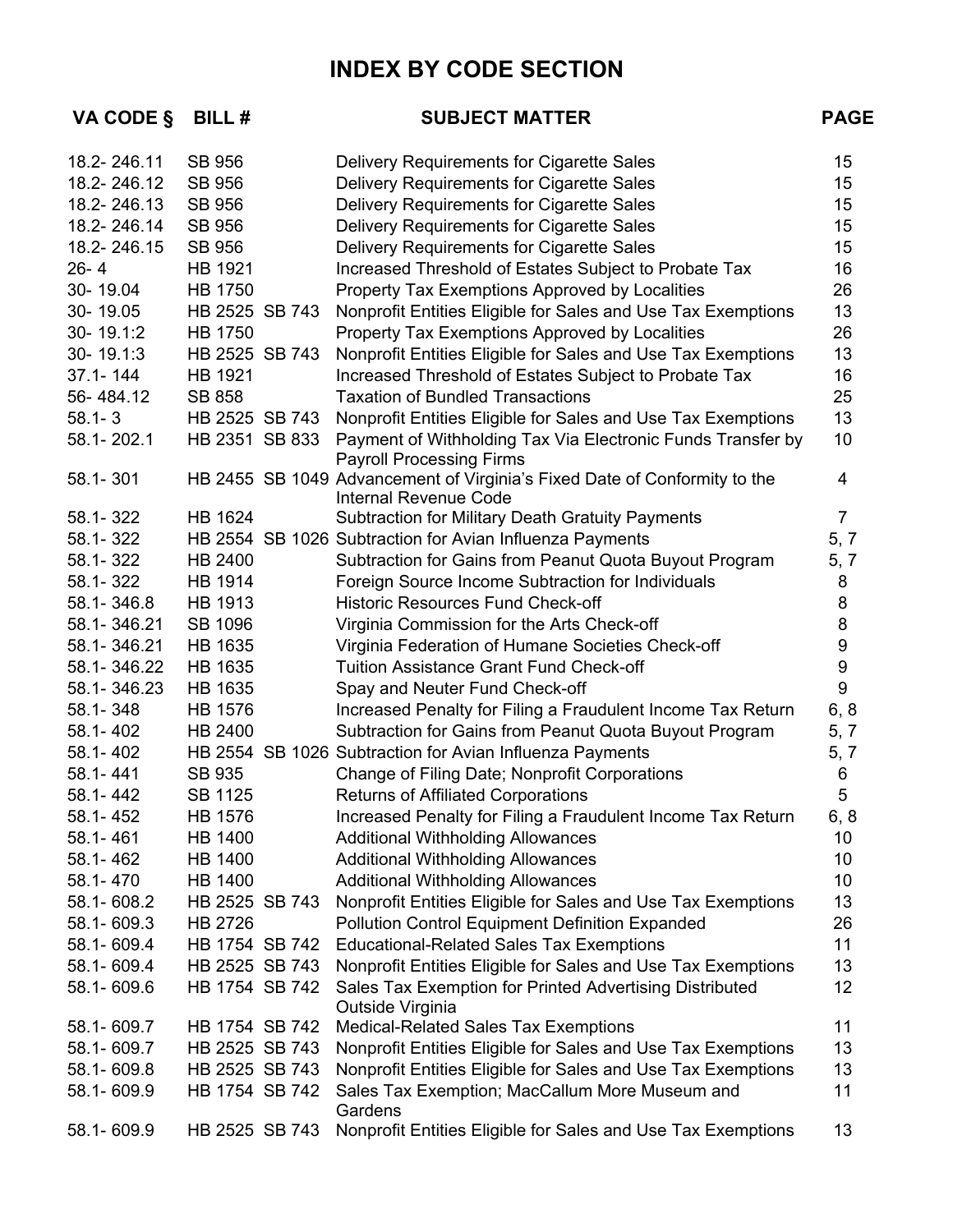| VA CODE §    | BILL#          | <b>SUBJECT MATTER</b>                                                                                     | <b>PAGE</b>    |
|--------------|----------------|-----------------------------------------------------------------------------------------------------------|----------------|
| 18.2-246.11  | <b>SB 956</b>  | Delivery Requirements for Cigarette Sales                                                                 | 15             |
| 18.2-246.12  | <b>SB 956</b>  | Delivery Requirements for Cigarette Sales                                                                 | 15             |
| 18.2-246.13  | SB 956         | Delivery Requirements for Cigarette Sales                                                                 | 15             |
| 18.2-246.14  | SB 956         | Delivery Requirements for Cigarette Sales                                                                 | 15             |
| 18.2-246.15  | SB 956         | Delivery Requirements for Cigarette Sales                                                                 | 15             |
| $26 - 4$     | HB 1921        | Increased Threshold of Estates Subject to Probate Tax                                                     | 16             |
| 30-19.04     | <b>HB 1750</b> | Property Tax Exemptions Approved by Localities                                                            | 26             |
| 30-19.05     | HB 2525 SB 743 | Nonprofit Entities Eligible for Sales and Use Tax Exemptions                                              | 13             |
| 30-19.1:2    | <b>HB 1750</b> | Property Tax Exemptions Approved by Localities                                                            | 26             |
| 30-19.1:3    | HB 2525 SB 743 | Nonprofit Entities Eligible for Sales and Use Tax Exemptions                                              | 13             |
| $37.1 - 144$ | HB 1921        | Increased Threshold of Estates Subject to Probate Tax                                                     | 16             |
| 56-484.12    | <b>SB 858</b>  | <b>Taxation of Bundled Transactions</b>                                                                   | 25             |
| $58.1 - 3$   | HB 2525 SB 743 | Nonprofit Entities Eligible for Sales and Use Tax Exemptions                                              | 13             |
| 58.1-202.1   | HB 2351 SB 833 | Payment of Withholding Tax Via Electronic Funds Transfer by                                               | 10             |
|              |                | <b>Payroll Processing Firms</b>                                                                           |                |
| 58.1-301     |                | HB 2455 SB 1049 Advancement of Virginia's Fixed Date of Conformity to the<br><b>Internal Revenue Code</b> | 4              |
| 58.1-322     | <b>HB 1624</b> | <b>Subtraction for Military Death Gratuity Payments</b>                                                   | $\overline{7}$ |
| 58.1-322     |                | HB 2554 SB 1026 Subtraction for Avian Influenza Payments                                                  | 5, 7           |
| 58.1-322     | HB 2400        | Subtraction for Gains from Peanut Quota Buyout Program                                                    | 5, 7           |
| 58.1-322     | HB 1914        | Foreign Source Income Subtraction for Individuals                                                         | 8              |
| 58.1-346.8   | HB 1913        | <b>Historic Resources Fund Check-off</b>                                                                  | 8              |
| 58.1-346.21  | SB 1096        | Virginia Commission for the Arts Check-off                                                                | 8              |
| 58.1-346.21  | HB 1635        | Virginia Federation of Humane Societies Check-off                                                         | 9              |
| 58.1-346.22  | HB 1635        | <b>Tuition Assistance Grant Fund Check-off</b>                                                            | 9              |
| 58.1-346.23  | HB 1635        | Spay and Neuter Fund Check-off                                                                            | 9              |
| 58.1-348     | <b>HB 1576</b> | Increased Penalty for Filing a Fraudulent Income Tax Return                                               | 6, 8           |
| 58.1-402     | HB 2400        | Subtraction for Gains from Peanut Quota Buyout Program                                                    | 5, 7           |
| 58.1-402     |                | HB 2554 SB 1026 Subtraction for Avian Influenza Payments                                                  | 5, 7           |
| 58.1-441     | <b>SB 935</b>  | Change of Filing Date; Nonprofit Corporations                                                             | 6              |
| 58.1-442     | SB 1125        | <b>Returns of Affiliated Corporations</b>                                                                 | 5              |
| 58.1-452     | HB 1576        | Increased Penalty for Filing a Fraudulent Income Tax Return                                               | 6, 8           |
| 58.1-461     | HB 1400        | <b>Additional Withholding Allowances</b>                                                                  | 10             |
| 58.1-462     | HB 1400        | <b>Additional Withholding Allowances</b>                                                                  | 10             |
| 58.1-470     | <b>HB 1400</b> | <b>Additional Withholding Allowances</b>                                                                  | 10             |
| 58.1-608.2   | HB 2525 SB 743 | Nonprofit Entities Eligible for Sales and Use Tax Exemptions                                              | 13             |
| 58.1-609.3   | HB 2726        | <b>Pollution Control Equipment Definition Expanded</b>                                                    | 26             |
| 58.1-609.4   | HB 1754 SB 742 | <b>Educational-Related Sales Tax Exemptions</b>                                                           | 11             |
| 58.1-609.4   | HB 2525 SB 743 | Nonprofit Entities Eligible for Sales and Use Tax Exemptions                                              | 13             |
| 58.1-609.6   | HB 1754 SB 742 | Sales Tax Exemption for Printed Advertising Distributed<br>Outside Virginia                               | 12             |
| 58.1-609.7   | HB 1754 SB 742 | <b>Medical-Related Sales Tax Exemptions</b>                                                               | 11             |
| 58.1-609.7   | HB 2525 SB 743 | Nonprofit Entities Eligible for Sales and Use Tax Exemptions                                              | 13             |
| 58.1-609.8   | HB 2525 SB 743 | Nonprofit Entities Eligible for Sales and Use Tax Exemptions                                              | 13             |
| 58.1-609.9   | HB 1754 SB 742 | Sales Tax Exemption; MacCallum More Museum and<br>Gardens                                                 | 11             |
| 58.1-609.9   | HB 2525 SB 743 | Nonprofit Entities Eligible for Sales and Use Tax Exemptions                                              | 13             |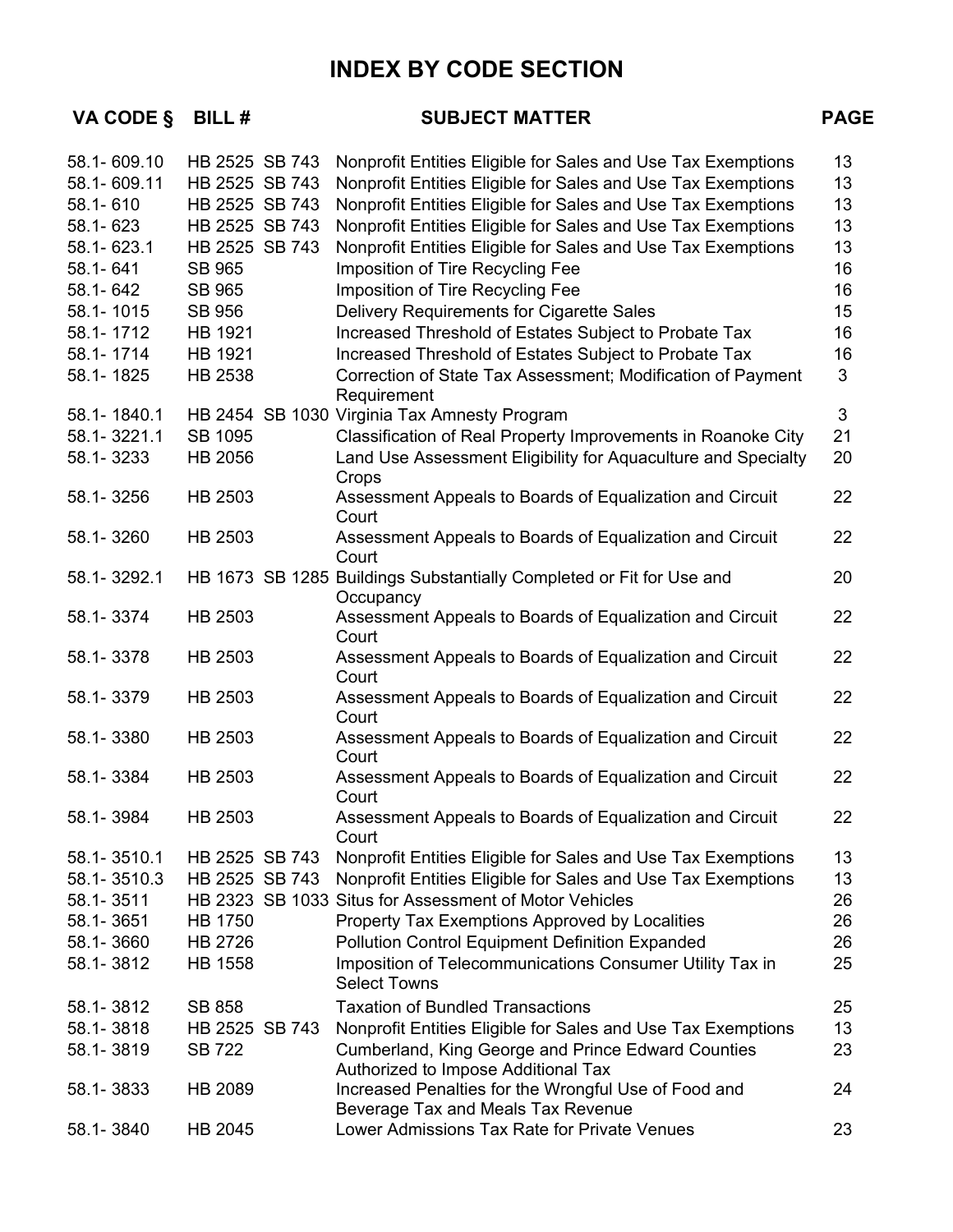**VA CODE § BILL # SUBJECT MATTER PAGE** 

| 58.1-609.10 | HB 2525 SB 743 | Nonprofit Entities Eligible for Sales and Use Tax Exemptions                               | 13 <sup>°</sup> |
|-------------|----------------|--------------------------------------------------------------------------------------------|-----------------|
| 58.1-609.11 | HB 2525 SB 743 | Nonprofit Entities Eligible for Sales and Use Tax Exemptions                               | 13              |
| 58.1-610    | HB 2525 SB 743 | Nonprofit Entities Eligible for Sales and Use Tax Exemptions                               | 13              |
| 58.1-623    | HB 2525 SB 743 | Nonprofit Entities Eligible for Sales and Use Tax Exemptions                               | 13              |
| 58.1-623.1  | HB 2525 SB 743 | Nonprofit Entities Eligible for Sales and Use Tax Exemptions                               | 13              |
| 58.1-641    | <b>SB 965</b>  | Imposition of Tire Recycling Fee                                                           | 16              |
| 58.1-642    | <b>SB 965</b>  | Imposition of Tire Recycling Fee                                                           | 16              |
| 58.1-1015   | <b>SB 956</b>  | Delivery Requirements for Cigarette Sales                                                  | 15              |
| 58.1-1712   | HB 1921        | Increased Threshold of Estates Subject to Probate Tax                                      | 16              |
| 58.1-1714   | HB 1921        | Increased Threshold of Estates Subject to Probate Tax                                      | 16              |
| 58.1-1825   | HB 2538        | Correction of State Tax Assessment; Modification of Payment<br>Requirement                 | 3               |
| 58.1-1840.1 |                | HB 2454 SB 1030 Virginia Tax Amnesty Program                                               | 3               |
| 58.1-3221.1 | SB 1095        | Classification of Real Property Improvements in Roanoke City                               | 21              |
| 58.1-3233   | HB 2056        | Land Use Assessment Eligibility for Aquaculture and Specialty<br>Crops                     | 20              |
| 58.1-3256   | HB 2503        | Assessment Appeals to Boards of Equalization and Circuit<br>Court                          | 22              |
| 58.1-3260   | HB 2503        | Assessment Appeals to Boards of Equalization and Circuit<br>Court                          | 22              |
| 58.1-3292.1 |                | HB 1673 SB 1285 Buildings Substantially Completed or Fit for Use and<br>Occupancy          | 20              |
| 58.1-3374   | HB 2503        | Assessment Appeals to Boards of Equalization and Circuit<br>Court                          | 22              |
| 58.1-3378   | HB 2503        | Assessment Appeals to Boards of Equalization and Circuit<br>Court                          | 22              |
| 58.1-3379   | HB 2503        | Assessment Appeals to Boards of Equalization and Circuit<br>Court                          | 22              |
| 58.1-3380   | HB 2503        | Assessment Appeals to Boards of Equalization and Circuit<br>Court                          | 22              |
| 58.1-3384   | HB 2503        | Assessment Appeals to Boards of Equalization and Circuit<br>Court                          | 22              |
| 58.1-3984   | HB 2503        | Assessment Appeals to Boards of Equalization and Circuit<br>Court                          | 22              |
| 58.1-3510.1 | HB 2525 SB 743 | Nonprofit Entities Eligible for Sales and Use Tax Exemptions                               | 13              |
| 58.1-3510.3 | HB 2525 SB 743 | Nonprofit Entities Eligible for Sales and Use Tax Exemptions                               | 13              |
| 58.1-3511   |                | HB 2323 SB 1033 Situs for Assessment of Motor Vehicles                                     | 26              |
| 58.1-3651   | <b>HB 1750</b> | Property Tax Exemptions Approved by Localities                                             | 26              |
| 58.1-3660   | HB 2726        | Pollution Control Equipment Definition Expanded                                            | 26              |
| 58.1-3812   | <b>HB 1558</b> | Imposition of Telecommunications Consumer Utility Tax in<br><b>Select Towns</b>            | 25              |
| 58.1-3812   | <b>SB 858</b>  | <b>Taxation of Bundled Transactions</b>                                                    | 25              |
| 58.1-3818   | HB 2525 SB 743 | Nonprofit Entities Eligible for Sales and Use Tax Exemptions                               | 13              |
| 58.1-3819   | <b>SB 722</b>  | Cumberland, King George and Prince Edward Counties<br>Authorized to Impose Additional Tax  | 23              |
| 58.1-3833   | HB 2089        | Increased Penalties for the Wrongful Use of Food and<br>Beverage Tax and Meals Tax Revenue | 24              |
| 58.1-3840   | HB 2045        | Lower Admissions Tax Rate for Private Venues                                               | 23              |